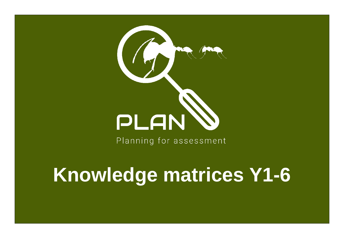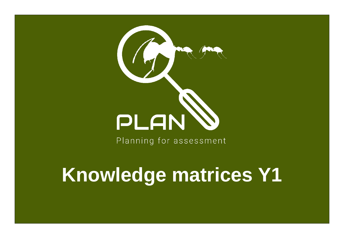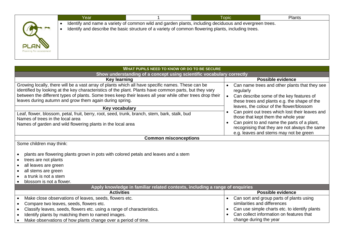|                                 | Identify and name a variety of common wild and garden plants, including deciduous and evergreen trees.<br>Identify and describe the basic structure of a variety of common flowering plants, including trees. |  |
|---------------------------------|---------------------------------------------------------------------------------------------------------------------------------------------------------------------------------------------------------------|--|
|                                 |                                                                                                                                                                                                               |  |
| PLAN<br>Planning for assessment |                                                                                                                                                                                                               |  |

| <b>WHAT PUPILS NEED TO KNOW OR DO TO BE SECURE</b>                                                                                                                                                                                                                                                                                                                                  |                                                                                                                                                                     |  |  |  |  |  |
|-------------------------------------------------------------------------------------------------------------------------------------------------------------------------------------------------------------------------------------------------------------------------------------------------------------------------------------------------------------------------------------|---------------------------------------------------------------------------------------------------------------------------------------------------------------------|--|--|--|--|--|
| Show understanding of a concept using scientific vocabulary correctly                                                                                                                                                                                                                                                                                                               |                                                                                                                                                                     |  |  |  |  |  |
| Key learning                                                                                                                                                                                                                                                                                                                                                                        | <b>Possible evidence</b>                                                                                                                                            |  |  |  |  |  |
| Growing locally, there will be a vast array of plants which all have specific names. These can be<br>identified by looking at the key characteristics of the plant. Plants have common parts, but they vary<br>between the different types of plants. Some trees keep their leaves all year while other trees drop their<br>leaves during autumn and grow them again during spring. | Can name trees and other plants that they see<br>$\bullet$<br>regularly<br>Can describe some of the key features of<br>these trees and plants e.g. the shape of the |  |  |  |  |  |
| Key vocabulary                                                                                                                                                                                                                                                                                                                                                                      | leaves, the colour of the flower/blossom                                                                                                                            |  |  |  |  |  |
| Leaf, flower, blossom, petal, fruit, berry, root, seed, trunk, branch, stem, bark, stalk, bud                                                                                                                                                                                                                                                                                       | Can point out trees which lost their leaves and<br>those that kept them the whole year                                                                              |  |  |  |  |  |
| Names of trees in the local area<br>Names of garden and wild flowering plants in the local area                                                                                                                                                                                                                                                                                     | Can point to and name the parts of a plant,<br>$\bullet$<br>recognising that they are not always the same<br>e.g. leaves and stems may not be green                 |  |  |  |  |  |
| <b>Common misconceptions</b>                                                                                                                                                                                                                                                                                                                                                        |                                                                                                                                                                     |  |  |  |  |  |
| Some children may think:<br>plants are flowering plants grown in pots with colored petals and leaves and a stem<br>trees are not plants<br>$\bullet$<br>all leaves are green<br>all stems are green<br>a trunk is not a stem<br>blossom is not a flower.                                                                                                                            |                                                                                                                                                                     |  |  |  |  |  |
| Apply knowledge in familiar related contexts, including a range of enquiries                                                                                                                                                                                                                                                                                                        |                                                                                                                                                                     |  |  |  |  |  |
| <b>Activities</b>                                                                                                                                                                                                                                                                                                                                                                   | <b>Possible evidence</b>                                                                                                                                            |  |  |  |  |  |
| Make close observations of leaves, seeds, flowers etc.                                                                                                                                                                                                                                                                                                                              | Can sort and group parts of plants using<br>$\bullet$                                                                                                               |  |  |  |  |  |
| Compare two leaves, seeds, flowers etc.<br>$\bullet$                                                                                                                                                                                                                                                                                                                                | similarities and differences                                                                                                                                        |  |  |  |  |  |
| Classify leaves, seeds, flowers etc. using a range of characteristics.<br>$\bullet$                                                                                                                                                                                                                                                                                                 | Can use simple charts etc. to identify plants<br>$\bullet$                                                                                                          |  |  |  |  |  |
| Identify plants by matching them to named images.                                                                                                                                                                                                                                                                                                                                   | Can collect information on features that                                                                                                                            |  |  |  |  |  |
| Make observations of how plants change over a period of time.                                                                                                                                                                                                                                                                                                                       | change during the year                                                                                                                                              |  |  |  |  |  |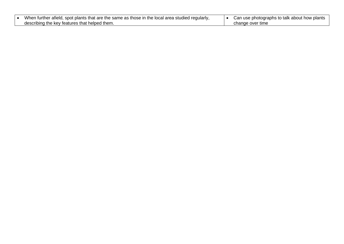| When further afield, spot plants that are the same as those in the local area studied regularly, | Can use photographs to talk about how plants |
|--------------------------------------------------------------------------------------------------|----------------------------------------------|
| describing the key features that helped them.                                                    | change over time                             |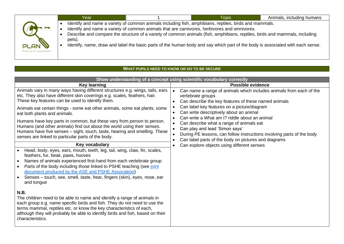|                                        | Year   | <b>Topic</b>                                                                                                                                                                                                                                                                                                                                                                                                                                                            | Animals, including humans |
|----------------------------------------|--------|-------------------------------------------------------------------------------------------------------------------------------------------------------------------------------------------------------------------------------------------------------------------------------------------------------------------------------------------------------------------------------------------------------------------------------------------------------------------------|---------------------------|
| <b>PLAN</b><br>Planning for assessment | pets). | Identify and name a variety of common animals including fish, amphibians, reptiles, birds and mammals.<br>Identify and name a variety of common animals that are carnivores, herbivores and omnivores.<br>Describe and compare the structure of a variety of common animals (fish, amphibians, reptiles, birds and mammals, including<br>Identify, name, draw and label the basic parts of the human body and say which part of the body is associated with each sense. |                           |

### **WHAT PUPILS NEED TO KNOW OR DO TO BE SECURE**

|                                                                                                                                                                                                                                                                                                                                                                                                                                                                                                                                                                                                                                                                                                                                                                                                                                                                                                                                                                                                                                                                 | Show understanding of a concept using scientific vocabulary correctly                                                                                                                                                                                                                                                                                                                                                                                                                                                                                     |
|-----------------------------------------------------------------------------------------------------------------------------------------------------------------------------------------------------------------------------------------------------------------------------------------------------------------------------------------------------------------------------------------------------------------------------------------------------------------------------------------------------------------------------------------------------------------------------------------------------------------------------------------------------------------------------------------------------------------------------------------------------------------------------------------------------------------------------------------------------------------------------------------------------------------------------------------------------------------------------------------------------------------------------------------------------------------|-----------------------------------------------------------------------------------------------------------------------------------------------------------------------------------------------------------------------------------------------------------------------------------------------------------------------------------------------------------------------------------------------------------------------------------------------------------------------------------------------------------------------------------------------------------|
| <b>Key learning</b>                                                                                                                                                                                                                                                                                                                                                                                                                                                                                                                                                                                                                                                                                                                                                                                                                                                                                                                                                                                                                                             | <b>Possible evidence</b>                                                                                                                                                                                                                                                                                                                                                                                                                                                                                                                                  |
| Animals vary in many ways having different structures e.g. wings, tails, ears<br>etc. They also have different skin coverings e.g. scales, feathers, hair.<br>These key features can be used to identify them.<br>Animals eat certain things - some eat other animals, some eat plants, some<br>eat both plants and animals.<br>Humans have key parts in common, but these vary from person to person.<br>Humans (and other animals) find out about the world using their senses.<br>Humans have five senses – sight, touch, taste, hearing and smelling. These<br>senses are linked to particular parts of the body.<br>Key vocabulary<br>Head, body, eyes, ears, mouth, teeth, leg, tail, wing, claw, fin, scales,<br>feathers, fur, beak, paws, hooves<br>Names of animals experienced first-hand from each vertebrate group<br>Parts of the body including those linked to PSHE teaching (see joint<br>document produced by the ASE and PSHE Association)<br>Senses - touch, see, smell, taste, hear, fingers (skin), eyes, nose, ear<br>and tongue<br>N.B. | Can name a range of animals which includes animals from each of the<br>vertebrate groups<br>Can describe the key features of these named animals<br>Can label key features on a picture/diagram<br>Can write descriptively about an animal<br>Can write a What am I? riddle about an animal<br>Can describe what a range of animals eat<br>Can play and lead 'Simon says'<br>During PE lessons, can follow instructions involving parts of the body<br>Can label parts of the body on pictures and diagrams<br>Can explore objects using different senses |
| The children need to be able to name and identify a range of animals in<br>each group e.g. name specific birds and fish. They do not need to use the<br>terms mammal, reptiles etc. or know the key characteristics of each,<br>although they will probably be able to identify birds and fish, based on their<br>characteristics.                                                                                                                                                                                                                                                                                                                                                                                                                                                                                                                                                                                                                                                                                                                              |                                                                                                                                                                                                                                                                                                                                                                                                                                                                                                                                                           |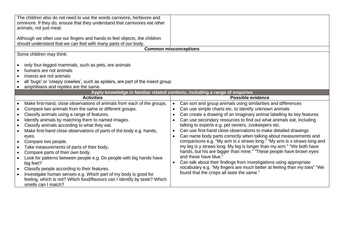| The children also do not need to use the words carnivore, herbivore and<br>omnivore. If they do, ensure that they understand that carnivores eat other<br>animals, not just meat.<br>Although we often use our fingers and hands to feel objects, the children<br>should understand that we can feel with many parts of our body.                                                                                                                                                                                                                                                                                                                                                                                                                                                         |                                                                                                                                                                                                                                                                                                                                                                                                                                                                                                                                                                                                                                                                                                                                                                                                                                                                                                                               |
|-------------------------------------------------------------------------------------------------------------------------------------------------------------------------------------------------------------------------------------------------------------------------------------------------------------------------------------------------------------------------------------------------------------------------------------------------------------------------------------------------------------------------------------------------------------------------------------------------------------------------------------------------------------------------------------------------------------------------------------------------------------------------------------------|-------------------------------------------------------------------------------------------------------------------------------------------------------------------------------------------------------------------------------------------------------------------------------------------------------------------------------------------------------------------------------------------------------------------------------------------------------------------------------------------------------------------------------------------------------------------------------------------------------------------------------------------------------------------------------------------------------------------------------------------------------------------------------------------------------------------------------------------------------------------------------------------------------------------------------|
|                                                                                                                                                                                                                                                                                                                                                                                                                                                                                                                                                                                                                                                                                                                                                                                           | <b>Common misconceptions</b>                                                                                                                                                                                                                                                                                                                                                                                                                                                                                                                                                                                                                                                                                                                                                                                                                                                                                                  |
| Some children may think:<br>only four-legged mammals, such as pets, are animals<br>humans are not animals<br>insects are not animals<br>all 'bugs' or 'creepy crawlies', such as spiders, are part of the insect group<br>amphibians and reptiles are the same.                                                                                                                                                                                                                                                                                                                                                                                                                                                                                                                           |                                                                                                                                                                                                                                                                                                                                                                                                                                                                                                                                                                                                                                                                                                                                                                                                                                                                                                                               |
|                                                                                                                                                                                                                                                                                                                                                                                                                                                                                                                                                                                                                                                                                                                                                                                           | Apply knowledge in familiar related contexts, including a range of enquiries                                                                                                                                                                                                                                                                                                                                                                                                                                                                                                                                                                                                                                                                                                                                                                                                                                                  |
| <b>Activities</b>                                                                                                                                                                                                                                                                                                                                                                                                                                                                                                                                                                                                                                                                                                                                                                         | <b>Possible evidence</b>                                                                                                                                                                                                                                                                                                                                                                                                                                                                                                                                                                                                                                                                                                                                                                                                                                                                                                      |
| Make first-hand, close observations of animals from each of the groups.<br>Compare two animals from the same or different groups.<br>Classify animals using a range of features.<br>Identify animals by matching them to named images.<br>Classify animals according to what they eat.<br>Make first-hand close observations of parts of the body e.g. hands,<br>eyes.<br>Compare two people.<br>Take measurements of parts of their body.<br>Compare parts of their own body.<br>Look for patterns between people e.g. Do people with big hands have<br>big feet?<br>Classify people according to their features.<br>Investigate human senses e.g. Which part of my body is good for<br>feeling, which is not? Which food/flavours can I identify by taste? Which<br>smells can I match? | Can sort and group animals using similarities and differences<br>Can use simple charts etc. to identify unknown animals<br>Can create a drawing of an imaginary animal labelling its key features<br>Can use secondary resources to find out what animals eat, including<br>talking to experts e.g. pet owners, zookeepers etc.<br>Can use first-hand close observations to make detailed drawings<br>Can name body parts correctly when talking about measurements and<br>comparisons e.g. "My arm is x straws long." "My arm is x straws long and<br>my leg is y straws long. My leg is longer than my arm." "We both have<br>hands, but his are bigger than mine." "These people have brown eyes<br>and these have blue."<br>Can talk about their findings from investigations using appropriate<br>vocabulary e.g. "My fingers are much better at feeling than my toes" "We<br>found that the crisps all taste the same." |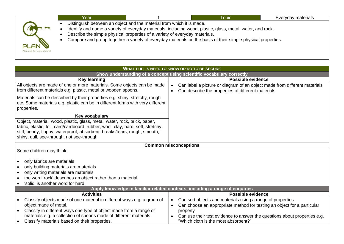|                                        | Year |                                                                                                                                                      | <b>Topic</b>                                                                                                                                                                                                               | Everyday materials |
|----------------------------------------|------|------------------------------------------------------------------------------------------------------------------------------------------------------|----------------------------------------------------------------------------------------------------------------------------------------------------------------------------------------------------------------------------|--------------------|
| <b>PLAN</b><br>Planning for assessment |      | Distinguish between an object and the material from which it is made.<br>Describe the simple physical properties of a variety of everyday materials. | Identify and name a variety of everyday materials, including wood, plastic, glass, metal, water, and rock.<br>Compare and group together a variety of everyday materials on the basis of their simple physical properties. |                    |

| <b>WHAT PUPILS NEED TO KNOW OR DO TO BE SECURE</b>                                                                                                                                                                                                                                      |                                                                                                                                                           |  |  |  |
|-----------------------------------------------------------------------------------------------------------------------------------------------------------------------------------------------------------------------------------------------------------------------------------------|-----------------------------------------------------------------------------------------------------------------------------------------------------------|--|--|--|
| Show understanding of a concept using scientific vocabulary correctly                                                                                                                                                                                                                   |                                                                                                                                                           |  |  |  |
| <b>Key learning</b>                                                                                                                                                                                                                                                                     | <b>Possible evidence</b>                                                                                                                                  |  |  |  |
| All objects are made of one or more materials. Some objects can be made<br>from different materials e.g. plastic, metal or wooden spoons.                                                                                                                                               | Can label a picture or diagram of an object made from different materials<br>$\bullet$<br>Can describe the properties of different materials<br>$\bullet$ |  |  |  |
| Materials can be described by their properties e.g. shiny, stretchy, rough<br>etc. Some materials e.g. plastic can be in different forms with very different<br>properties.                                                                                                             |                                                                                                                                                           |  |  |  |
| Key vocabulary                                                                                                                                                                                                                                                                          |                                                                                                                                                           |  |  |  |
| Object, material, wood, plastic, glass, metal, water, rock, brick, paper,<br>fabric, elastic, foil, card/cardboard, rubber, wool, clay, hard, soft, stretchy,<br>stiff, bendy, floppy, waterproof, absorbent, breaks/tears, rough, smooth,<br>shiny, dull, see-through, not see-through |                                                                                                                                                           |  |  |  |
| <b>Common misconceptions</b>                                                                                                                                                                                                                                                            |                                                                                                                                                           |  |  |  |
| Some children may think:                                                                                                                                                                                                                                                                |                                                                                                                                                           |  |  |  |
| only fabrics are materials<br>$\bullet$<br>only building materials are materials<br>$\bullet$<br>only writing materials are materials                                                                                                                                                   |                                                                                                                                                           |  |  |  |
| the word 'rock' describes an object rather than a material                                                                                                                                                                                                                              |                                                                                                                                                           |  |  |  |
| 'solid' is another word for hard.                                                                                                                                                                                                                                                       |                                                                                                                                                           |  |  |  |
| Apply knowledge in familiar related contexts, including a range of enquiries<br><b>Activities</b><br><b>Possible evidence</b>                                                                                                                                                           |                                                                                                                                                           |  |  |  |
|                                                                                                                                                                                                                                                                                         |                                                                                                                                                           |  |  |  |
| Classify objects made of one material in different ways e.g. a group of<br>object made of metal.                                                                                                                                                                                        | Can sort objects and materials using a range of properties<br>$\bullet$                                                                                   |  |  |  |
| Classify in different ways one type of object made from a range of                                                                                                                                                                                                                      | Can choose an appropriate method for testing an object for a particular<br>$\bullet$<br>property                                                          |  |  |  |
| materials e.g. a collection of spoons made of different materials.                                                                                                                                                                                                                      | Can use their test evidence to answer the questions about properties e.g.                                                                                 |  |  |  |
| Classify materials based on their properties.                                                                                                                                                                                                                                           | "Which cloth is the most absorbent?"                                                                                                                      |  |  |  |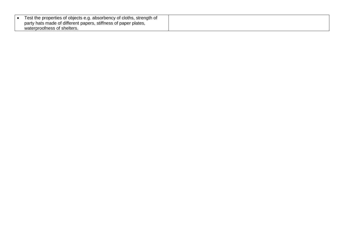| Test the properties of objects e.g. absorbency of cloths, strength of |
|-----------------------------------------------------------------------|
| party hats made of different papers, stiffness of paper plates,       |
| waterproofness of shelters.                                           |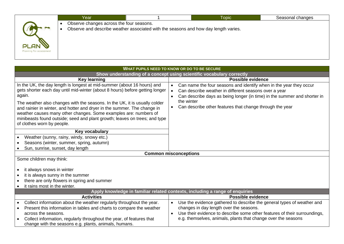|                         | Year                                     |                                                                                     | <b>Topic</b> | Seasonal changes |
|-------------------------|------------------------------------------|-------------------------------------------------------------------------------------|--------------|------------------|
|                         | Observe changes across the four seasons. | Observe and describe weather associated with the seasons and how day length varies. |              |                  |
|                         |                                          |                                                                                     |              |                  |
| PLAN                    |                                          |                                                                                     |              |                  |
| Planning for assessment |                                          |                                                                                     |              |                  |
|                         |                                          |                                                                                     |              |                  |

| WHAT PUPILS NEED TO KNOW OR DO TO BE SECURE                                                                                                                                                                                                                                                                                                                                                                                                                                                                 |                                                                                                                                                                                                                                                                                                |  |  |  |
|-------------------------------------------------------------------------------------------------------------------------------------------------------------------------------------------------------------------------------------------------------------------------------------------------------------------------------------------------------------------------------------------------------------------------------------------------------------------------------------------------------------|------------------------------------------------------------------------------------------------------------------------------------------------------------------------------------------------------------------------------------------------------------------------------------------------|--|--|--|
| Show understanding of a concept using scientific vocabulary correctly                                                                                                                                                                                                                                                                                                                                                                                                                                       |                                                                                                                                                                                                                                                                                                |  |  |  |
| <b>Key learning</b>                                                                                                                                                                                                                                                                                                                                                                                                                                                                                         | Possible evidence                                                                                                                                                                                                                                                                              |  |  |  |
| In the UK, the day length is longest at mid-summer (about 16 hours) and<br>gets shorter each day until mid-winter (about 8 hours) before getting longer<br>again.<br>The weather also changes with the seasons. In the UK, it is usually colder<br>and rainier in winter, and hotter and dryer in the summer. The change in<br>weather causes many other changes. Some examples are: numbers of<br>minibeasts found outside; seed and plant growth; leaves on trees; and type<br>of clothes worn by people. | Can name the four seasons and identify when in the year they occur<br>$\bullet$<br>Can describe weather in different seasons over a year<br>Can describe days as being longer (in time) in the summer and shorter in<br>the winter<br>Can describe other features that change through the year |  |  |  |
| Key vocabulary                                                                                                                                                                                                                                                                                                                                                                                                                                                                                              |                                                                                                                                                                                                                                                                                                |  |  |  |
| Weather (sunny, rainy, windy, snowy etc.)                                                                                                                                                                                                                                                                                                                                                                                                                                                                   |                                                                                                                                                                                                                                                                                                |  |  |  |
| Seasons (winter, summer, spring, autumn)                                                                                                                                                                                                                                                                                                                                                                                                                                                                    |                                                                                                                                                                                                                                                                                                |  |  |  |
| Sun, sunrise, sunset, day length                                                                                                                                                                                                                                                                                                                                                                                                                                                                            |                                                                                                                                                                                                                                                                                                |  |  |  |
|                                                                                                                                                                                                                                                                                                                                                                                                                                                                                                             | <b>Common misconceptions</b>                                                                                                                                                                                                                                                                   |  |  |  |
| Some children may think:                                                                                                                                                                                                                                                                                                                                                                                                                                                                                    |                                                                                                                                                                                                                                                                                                |  |  |  |
| it always snows in winter<br>it is always sunny in the summer<br>there are only flowers in spring and summer<br>it rains most in the winter.                                                                                                                                                                                                                                                                                                                                                                |                                                                                                                                                                                                                                                                                                |  |  |  |
|                                                                                                                                                                                                                                                                                                                                                                                                                                                                                                             | Apply knowledge in familiar related contexts, including a range of enquiries                                                                                                                                                                                                                   |  |  |  |
| <b>Activities</b>                                                                                                                                                                                                                                                                                                                                                                                                                                                                                           | <b>Possible evidence</b>                                                                                                                                                                                                                                                                       |  |  |  |
| Collect information about the weather regularly throughout the year.                                                                                                                                                                                                                                                                                                                                                                                                                                        | Use the evidence gathered to describe the general types of weather and<br>$\bullet$                                                                                                                                                                                                            |  |  |  |
| Present this information in tables and charts to compare the weather                                                                                                                                                                                                                                                                                                                                                                                                                                        | changes in day length over the seasons.                                                                                                                                                                                                                                                        |  |  |  |
| across the seasons.<br>Collect information, regularly throughout the year, of features that<br>change with the seasons e.g. plants, animals, humans.                                                                                                                                                                                                                                                                                                                                                        | Use their evidence to describe some other features of their surroundings,<br>e.g. themselves, animals, plants that change over the seasons                                                                                                                                                     |  |  |  |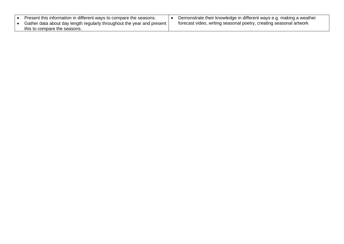| Present this information in different ways to compare the seasons.                                       | Demonstrate their knowledge in different ways e.g. making a weather |
|----------------------------------------------------------------------------------------------------------|---------------------------------------------------------------------|
| Gather data about day length regularly throughout the year and present I<br>this to compare the seasons. | forecast video, writing seasonal poetry, creating seasonal artwork  |
|                                                                                                          |                                                                     |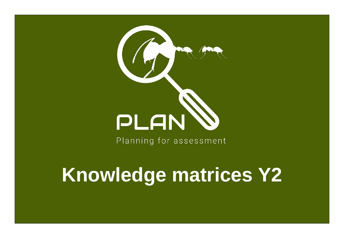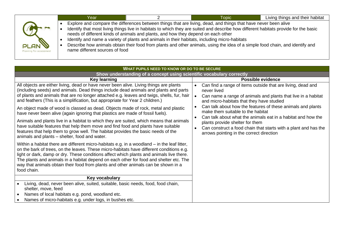|                                        | Year.                          |                                                                                                                                                                                    | <b>Topic</b>                                                                                                                                                                                                                                                                                                                                                                             | Living things and their habitat |
|----------------------------------------|--------------------------------|------------------------------------------------------------------------------------------------------------------------------------------------------------------------------------|------------------------------------------------------------------------------------------------------------------------------------------------------------------------------------------------------------------------------------------------------------------------------------------------------------------------------------------------------------------------------------------|---------------------------------|
| <b>PLAN</b><br>Planning for assessment | name different sources of food | needs of different kinds of animals and plants, and how they depend on each other<br>Identify and name a variety of plants and animals in their habitats, including micro-habitats | Explore and compare the differences between things that are living, dead, and things that have never been alive<br>Identify that most living things live in habitats to which they are suited and describe how different habitats provide for the basic<br>Describe how animals obtain their food from plants and other animals, using the idea of a simple food chain, and identify and |                                 |

| WHAT PUPILS NEED TO KNOW OR DO TO BE SECURE                                                                                                                                                                                                                                                                                                                                                                                                                                         |                                                                                                                                                                                          |  |  |  |  |
|-------------------------------------------------------------------------------------------------------------------------------------------------------------------------------------------------------------------------------------------------------------------------------------------------------------------------------------------------------------------------------------------------------------------------------------------------------------------------------------|------------------------------------------------------------------------------------------------------------------------------------------------------------------------------------------|--|--|--|--|
| Show understanding of a concept using scientific vocabulary correctly                                                                                                                                                                                                                                                                                                                                                                                                               |                                                                                                                                                                                          |  |  |  |  |
| Key learning                                                                                                                                                                                                                                                                                                                                                                                                                                                                        | <b>Possible evidence</b>                                                                                                                                                                 |  |  |  |  |
| All objects are either living, dead or have never been alive. Living things are plants<br>(including seeds) and animals. Dead things include dead animals and plants and parts<br>of plants and animals that are no longer attached e.g. leaves and twigs, shells, fur, hair<br>and feathers (This is a simplification, but appropriate for Year 2 children.)                                                                                                                       | Can find a range of items outside that are living, dead and<br>never lived<br>Can name a range of animals and plants that live in a habitat<br>and micro-habitats that they have studied |  |  |  |  |
| An object made of wood is classed as dead. Objects made of rock, metal and plastic<br>have never been alive (again ignoring that plastics are made of fossil fuels).                                                                                                                                                                                                                                                                                                                | Can talk about how the features of these animals and plants<br>make them suitable to the habitat<br>Can talk about what the animals eat in a habitat and how the                         |  |  |  |  |
| Animals and plants live in a habitat to which they are suited, which means that animals<br>have suitable features that help them move and find food and plants have suitable<br>features that help them to grow well. The habitat provides the basic needs of the<br>animals and plants – shelter, food and water.                                                                                                                                                                  | plants provide shelter for them<br>Can construct a food chain that starts with a plant and has the<br>arrows pointing in the correct direction                                           |  |  |  |  |
| Within a habitat there are different micro-habitats e.g. in a woodland – in the leaf litter,<br>on the bark of trees, on the leaves. These micro-habitats have different conditions e.g.<br>light or dark, damp or dry. These conditions affect which plants and animals live there.<br>The plants and animals in a habitat depend on each other for food and shelter etc. The<br>way that animals obtain their food from plants and other animals can be shown in a<br>food chain. |                                                                                                                                                                                          |  |  |  |  |
| Key vocabulary                                                                                                                                                                                                                                                                                                                                                                                                                                                                      |                                                                                                                                                                                          |  |  |  |  |
| Living, dead, never been alive, suited, suitable, basic needs, food, food chain,<br>shelter, move, feed                                                                                                                                                                                                                                                                                                                                                                             |                                                                                                                                                                                          |  |  |  |  |
| Names of local habitats e.g. pond, woodland etc.                                                                                                                                                                                                                                                                                                                                                                                                                                    |                                                                                                                                                                                          |  |  |  |  |
| Names of micro-habitats e.g. under logs, in bushes etc.                                                                                                                                                                                                                                                                                                                                                                                                                             |                                                                                                                                                                                          |  |  |  |  |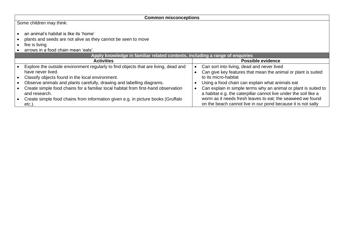| <b>Common misconceptions</b>                                                                                                                                     |  |                                                                                                                                     |  |  |
|------------------------------------------------------------------------------------------------------------------------------------------------------------------|--|-------------------------------------------------------------------------------------------------------------------------------------|--|--|
| Some children may think:                                                                                                                                         |  |                                                                                                                                     |  |  |
| an animal's habitat is like its 'home'<br>plants and seeds are not alive as they cannot be seen to move<br>fire is living<br>arrows in a food chain mean 'eats'. |  |                                                                                                                                     |  |  |
| Apply knowledge in familiar related contexts, including a range of enquiries                                                                                     |  |                                                                                                                                     |  |  |
| <b>Activities</b>                                                                                                                                                |  | <b>Possible evidence</b>                                                                                                            |  |  |
| Explore the outside environment regularly to find objects that are living, dead and<br>have never lived.                                                         |  | Can sort into living, dead and never lived<br>Can give key features that mean the animal or plant is suited                         |  |  |
| Classify objects found in the local environment.                                                                                                                 |  | to its micro-habitat                                                                                                                |  |  |
| Observe animals and plants carefully, drawing and labelling diagrams.                                                                                            |  | Using a food chain can explain what animals eat                                                                                     |  |  |
| Create simple food chains for a familiar local habitat from first-hand observation<br>and research.                                                              |  | Can explain in simple terms why an animal or plant is suited to<br>a habitat e.g. the caterpillar cannot live under the soil like a |  |  |
| Create simple food chains from information given e.g. in picture books (Gruffalo<br>$etc.$ ).                                                                    |  | worm as it needs fresh leaves to eat; the seaweed we found<br>on the beach cannot live in our pond because it is not salty          |  |  |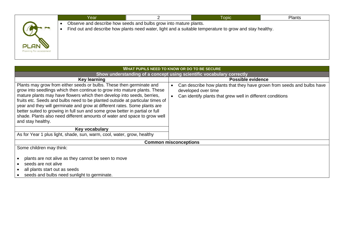|                         | Year |                                                                   | <b>Topic</b>                                                                                            | <b>Plants</b> |
|-------------------------|------|-------------------------------------------------------------------|---------------------------------------------------------------------------------------------------------|---------------|
|                         |      | Observe and describe how seeds and bulbs grow into mature plants. | Find out and describe how plants need water, light and a suitable temperature to grow and stay healthy. |               |
|                         |      |                                                                   |                                                                                                         |               |
| PLAN                    |      |                                                                   |                                                                                                         |               |
| Planning for assessment |      |                                                                   |                                                                                                         |               |
|                         |      |                                                                   |                                                                                                         |               |

| WHAT PUPILS NEED TO KNOW OR DO TO BE SECURE                                                                                                                                                                                                                                                                                                                                                                                                                                                                                                                                                                                                                             |                                                                                                                                                             |  |  |  |  |
|-------------------------------------------------------------------------------------------------------------------------------------------------------------------------------------------------------------------------------------------------------------------------------------------------------------------------------------------------------------------------------------------------------------------------------------------------------------------------------------------------------------------------------------------------------------------------------------------------------------------------------------------------------------------------|-------------------------------------------------------------------------------------------------------------------------------------------------------------|--|--|--|--|
| Show understanding of a concept using scientific vocabulary correctly                                                                                                                                                                                                                                                                                                                                                                                                                                                                                                                                                                                                   |                                                                                                                                                             |  |  |  |  |
| <b>Key learning</b>                                                                                                                                                                                                                                                                                                                                                                                                                                                                                                                                                                                                                                                     | <b>Possible evidence</b>                                                                                                                                    |  |  |  |  |
| Plants may grow from either seeds or bulbs. These then germinate and<br>grow into seedlings which then continue to grow into mature plants. These<br>mature plants may have flowers which then develop into seeds, berries,<br>fruits etc. Seeds and bulbs need to be planted outside at particular times of<br>year and they will germinate and grow at different rates. Some plants are<br>better suited to growing in full sun and some grow better in partial or full<br>shade. Plants also need different amounts of water and space to grow well<br>and stay healthy.<br>Key vocabulary<br>As for Year 1 plus light, shade, sun, warm, cool, water, grow, healthy | Can describe how plants that they have grown from seeds and bulbs have<br>developed over time<br>Can identify plants that grew well in different conditions |  |  |  |  |
|                                                                                                                                                                                                                                                                                                                                                                                                                                                                                                                                                                                                                                                                         | <b>Common misconceptions</b>                                                                                                                                |  |  |  |  |
| Some children may think:                                                                                                                                                                                                                                                                                                                                                                                                                                                                                                                                                                                                                                                |                                                                                                                                                             |  |  |  |  |
| plants are not alive as they cannot be seen to move                                                                                                                                                                                                                                                                                                                                                                                                                                                                                                                                                                                                                     |                                                                                                                                                             |  |  |  |  |
| seeds are not alive                                                                                                                                                                                                                                                                                                                                                                                                                                                                                                                                                                                                                                                     |                                                                                                                                                             |  |  |  |  |
| all plants start out as seeds                                                                                                                                                                                                                                                                                                                                                                                                                                                                                                                                                                                                                                           |                                                                                                                                                             |  |  |  |  |
| seeds and bulbs need sunlight to germinate.                                                                                                                                                                                                                                                                                                                                                                                                                                                                                                                                                                                                                             |                                                                                                                                                             |  |  |  |  |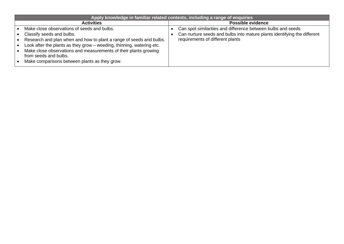| Apply knowledge in familiar related contexts, including a range of enquiries |  |                                                                          |  |  |
|------------------------------------------------------------------------------|--|--------------------------------------------------------------------------|--|--|
| <b>Activities</b>                                                            |  | <b>Possible evidence</b>                                                 |  |  |
| Make close observations of seeds and bulbs.                                  |  | Can spot similarities and difference between bulbs and seeds             |  |  |
| Classify seeds and bulbs.                                                    |  | Can nurture seeds and bulbs into mature plants identifying the different |  |  |
| Research and plan when and how to plant a range of seeds and bulbs.          |  | requirements of different plants                                         |  |  |
| Look after the plants as they grow - weeding, thinning, watering etc.        |  |                                                                          |  |  |
| Make close observations and measurements of their plants growing             |  |                                                                          |  |  |
| from seeds and bulbs.<br>Make comparisons between plants as they grow.       |  |                                                                          |  |  |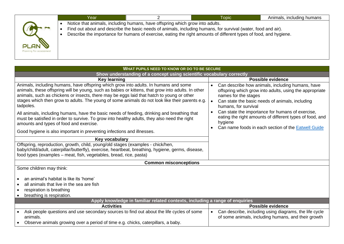|                                 | Notice that animals, including humans, have offspring which grow into adults.<br>Find out about and describe the basic needs of animals, including humans, for survival (water, food and air). |  |  |
|---------------------------------|------------------------------------------------------------------------------------------------------------------------------------------------------------------------------------------------|--|--|
|                                 |                                                                                                                                                                                                |  |  |
|                                 |                                                                                                                                                                                                |  |  |
| PLAN<br>Planning for assessment | Describe the importance for humans of exercise, eating the right amounts of different types of food, and hygiene.                                                                              |  |  |

| WHAT PUPILS NEED TO KNOW OR DO TO BE SECURE                                                                                                                                                                                                                                                                                                                                                             |                                                                                                                                                                                                                             |  |  |  |  |
|---------------------------------------------------------------------------------------------------------------------------------------------------------------------------------------------------------------------------------------------------------------------------------------------------------------------------------------------------------------------------------------------------------|-----------------------------------------------------------------------------------------------------------------------------------------------------------------------------------------------------------------------------|--|--|--|--|
| Show understanding of a concept using scientific vocabulary correctly                                                                                                                                                                                                                                                                                                                                   |                                                                                                                                                                                                                             |  |  |  |  |
| <b>Key learning</b>                                                                                                                                                                                                                                                                                                                                                                                     | <b>Possible evidence</b>                                                                                                                                                                                                    |  |  |  |  |
| Animals, including humans, have offspring which grow into adults. In humans and some<br>animals, these offspring will be young, such as babies or kittens, that grow into adults. In other<br>animals, such as chickens or insects, there may be eggs laid that hatch to young or other<br>stages which then grow to adults. The young of some animals do not look like their parents e.g.<br>tadpoles. | Can describe how animals, including humans, have<br>$\bullet$<br>offspring which grow into adults, using the appropriate<br>names for the stages<br>Can state the basic needs of animals, including<br>humans, for survival |  |  |  |  |
| All animals, including humans, have the basic needs of feeding, drinking and breathing that<br>must be satisfied in order to survive. To grow into healthy adults, they also need the right<br>amounts and types of food and exercise.                                                                                                                                                                  | Can state the importance for humans of exercise,<br>eating the right amounts of different types of food, and<br>hygiene<br>Can name foods in each section of the <b>Eatwell Guide</b>                                       |  |  |  |  |
| Good hygiene is also important in preventing infections and illnesses.                                                                                                                                                                                                                                                                                                                                  |                                                                                                                                                                                                                             |  |  |  |  |
| Key vocabulary                                                                                                                                                                                                                                                                                                                                                                                          |                                                                                                                                                                                                                             |  |  |  |  |
| Offspring, reproduction, growth, child, young/old stages (examples - chick/hen,<br>baby/child/adult, caterpillar/butterfly), exercise, heartbeat, breathing, hygiene, germs, disease,<br>food types (examples – meat, fish, vegetables, bread, rice, pasta)                                                                                                                                             |                                                                                                                                                                                                                             |  |  |  |  |
| <b>Common misconceptions</b>                                                                                                                                                                                                                                                                                                                                                                            |                                                                                                                                                                                                                             |  |  |  |  |
| Some children may think:                                                                                                                                                                                                                                                                                                                                                                                |                                                                                                                                                                                                                             |  |  |  |  |
| an animal's habitat is like its 'home'<br>all animals that live in the sea are fish<br>respiration is breathing<br>breathing is respiration.                                                                                                                                                                                                                                                            |                                                                                                                                                                                                                             |  |  |  |  |
|                                                                                                                                                                                                                                                                                                                                                                                                         |                                                                                                                                                                                                                             |  |  |  |  |
| <b>Activities</b>                                                                                                                                                                                                                                                                                                                                                                                       | <b>Possible evidence</b>                                                                                                                                                                                                    |  |  |  |  |
| Ask people questions and use secondary sources to find out about the life cycles of some<br>animals.                                                                                                                                                                                                                                                                                                    | Can describe, including using diagrams, the life cycle<br>$\bullet$<br>of some animals, including humans, and their growth                                                                                                  |  |  |  |  |
| Apply knowledge in familiar related contexts, including a range of enquiries<br>Observe animals growing over a period of time e.g. chicks, caterpillars, a baby.                                                                                                                                                                                                                                        |                                                                                                                                                                                                                             |  |  |  |  |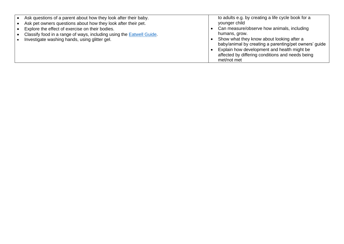| Ask questions of a parent about how they look after their baby.<br>Ask pet owners questions about how they look after their pet.<br>Explore the effect of exercise on their bodies.<br>Classify food in a range of ways, including using the <b>Eatwell Guide</b> .<br>Investigate washing hands, using glitter gel. | to adults e.g. by creating a life cycle book for a<br>younger child<br>Can measure/observe how animals, including<br>humans, grow.<br>Show what they know about looking after a<br>baby/animal by creating a parenting/pet owners' guide<br>Explain how development and health might be<br>affected by differing conditions and needs being |
|----------------------------------------------------------------------------------------------------------------------------------------------------------------------------------------------------------------------------------------------------------------------------------------------------------------------|---------------------------------------------------------------------------------------------------------------------------------------------------------------------------------------------------------------------------------------------------------------------------------------------------------------------------------------------|
|                                                                                                                                                                                                                                                                                                                      | met/not met                                                                                                                                                                                                                                                                                                                                 |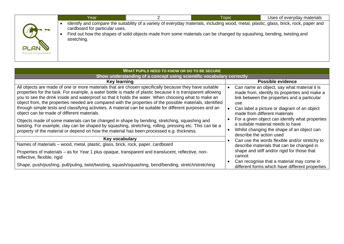|                                        | Year                                          | <b>Topic</b>                                                                                                                                                                                                                                                   | Uses of everyday materials |
|----------------------------------------|-----------------------------------------------|----------------------------------------------------------------------------------------------------------------------------------------------------------------------------------------------------------------------------------------------------------------|----------------------------|
| <b>PLAN</b><br>Planning for assessment | cardboard for particular uses.<br>stretching. | Identify and compare the suitability of a variety of everyday materials, including wood, metal, plastic, glass, brick, rock, paper and<br>Find out how the shapes of solid objects made from some materials can be changed by squashing, bending, twisting and |                            |

| <b>WHAT PUPILS NEED TO KNOW OR DO TO BE SECURE</b>                                                                                                                                                                                                                                                                                                                                                                                                                                                                                                                                                                                                                                                                                                                                                                                                                                                           |                                                                                                                                                                                                                                                                                                                                                                            |  |  |  |  |  |
|--------------------------------------------------------------------------------------------------------------------------------------------------------------------------------------------------------------------------------------------------------------------------------------------------------------------------------------------------------------------------------------------------------------------------------------------------------------------------------------------------------------------------------------------------------------------------------------------------------------------------------------------------------------------------------------------------------------------------------------------------------------------------------------------------------------------------------------------------------------------------------------------------------------|----------------------------------------------------------------------------------------------------------------------------------------------------------------------------------------------------------------------------------------------------------------------------------------------------------------------------------------------------------------------------|--|--|--|--|--|
| Show understanding of a concept using scientific vocabulary correctly                                                                                                                                                                                                                                                                                                                                                                                                                                                                                                                                                                                                                                                                                                                                                                                                                                        |                                                                                                                                                                                                                                                                                                                                                                            |  |  |  |  |  |
| Key learning                                                                                                                                                                                                                                                                                                                                                                                                                                                                                                                                                                                                                                                                                                                                                                                                                                                                                                 | <b>Possible evidence</b>                                                                                                                                                                                                                                                                                                                                                   |  |  |  |  |  |
| All objects are made of one or more materials that are chosen specifically because they have suitable<br>properties for the task. For example, a water bottle is made of plastic because it is transparent allowing<br>you to see the drink inside and waterproof so that it holds the water. When choosing what to make an<br>object from, the properties needed are compared with the properties of the possible materials, identified<br>through simple tests and classifying activities. A material can be suitable for different purposes and an<br>object can be made of different materials.<br>Objects made of some materials can be changed in shape by bending, stretching, squashing and<br>twisting. For example, clay can be shaped by squashing, stretching, rolling, pressing etc. This can be a<br>property of the material or depend on how the material has been processed e.g. thickness. | Can name an object, say what material it is<br>made from, identify its properties and make a<br>link between the properties and a particular<br>use.<br>Can label a picture or diagram of an object<br>made from different materials<br>For a given object can identify what properties<br>a suitable material needs to have<br>Whilst changing the shape of an object can |  |  |  |  |  |
| Key vocabulary                                                                                                                                                                                                                                                                                                                                                                                                                                                                                                                                                                                                                                                                                                                                                                                                                                                                                               | describe the action used                                                                                                                                                                                                                                                                                                                                                   |  |  |  |  |  |
| Names of materials - wood, metal, plastic, glass, brick, rock, paper, cardboard                                                                                                                                                                                                                                                                                                                                                                                                                                                                                                                                                                                                                                                                                                                                                                                                                              | Can use the words flexible and/or stretchy to                                                                                                                                                                                                                                                                                                                              |  |  |  |  |  |
|                                                                                                                                                                                                                                                                                                                                                                                                                                                                                                                                                                                                                                                                                                                                                                                                                                                                                                              | describe materials that can be changed in                                                                                                                                                                                                                                                                                                                                  |  |  |  |  |  |
| Properties of materials - as for Year 1 plus opaque, transparent and translucent, reflective, non-<br>reflective, flexible, rigid                                                                                                                                                                                                                                                                                                                                                                                                                                                                                                                                                                                                                                                                                                                                                                            | shape and stiff and/or rigid for those that<br>cannot                                                                                                                                                                                                                                                                                                                      |  |  |  |  |  |
| Shape, push/pushing, pull/puling, twist/twisting, squash/squashing, bend/bending, stretch/stretching                                                                                                                                                                                                                                                                                                                                                                                                                                                                                                                                                                                                                                                                                                                                                                                                         | Can recognise that a material may come in<br>different forms which have different properties                                                                                                                                                                                                                                                                               |  |  |  |  |  |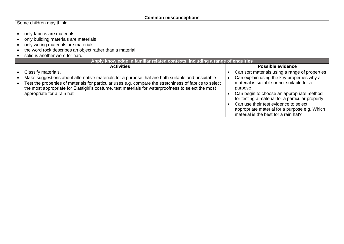| <b>Common misconceptions</b>                                                                                                                                                                                                                 |  |                                                                                                                                                                                                                                                                                          |  |  |
|----------------------------------------------------------------------------------------------------------------------------------------------------------------------------------------------------------------------------------------------|--|------------------------------------------------------------------------------------------------------------------------------------------------------------------------------------------------------------------------------------------------------------------------------------------|--|--|
| Some children may think:                                                                                                                                                                                                                     |  |                                                                                                                                                                                                                                                                                          |  |  |
| only fabrics are materials<br>only building materials are materials<br>only writing materials are materials<br>the word rock describes an object rather than a material<br>solid is another word for hard.                                   |  |                                                                                                                                                                                                                                                                                          |  |  |
| Apply knowledge in familiar related contexts, including a range of enquiries                                                                                                                                                                 |  |                                                                                                                                                                                                                                                                                          |  |  |
| <b>Activities</b>                                                                                                                                                                                                                            |  | Possible evidence                                                                                                                                                                                                                                                                        |  |  |
| Classify materials.                                                                                                                                                                                                                          |  | Can sort materials using a range of properties                                                                                                                                                                                                                                           |  |  |
| Make suggestions about alternative materials for a purpose that are both suitable and unsuitable                                                                                                                                             |  | Can explain using the key properties why a                                                                                                                                                                                                                                               |  |  |
| Test the properties of materials for particular uses e.g. compare the stretchiness of fabrics to select<br>the most appropriate for Elastigirl's costume, test materials for waterproofness to select the most<br>appropriate for a rain hat |  | material is suitable or not suitable for a<br>purpose<br>Can begin to choose an appropriate method<br>for testing a material for a particular property<br>Can use their test evidence to select<br>appropriate material for a purpose e.g. Which<br>material is the best for a rain hat? |  |  |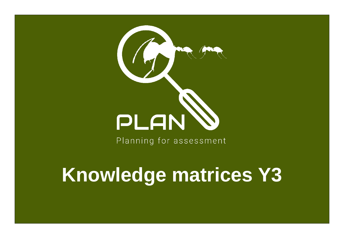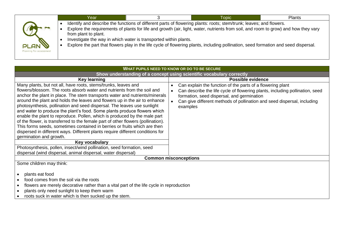|                                        | Year                 |                                                                  | Topic                                                                                                                                                                                                                                                                                                                                                                                             | <b>Plants</b> |
|----------------------------------------|----------------------|------------------------------------------------------------------|---------------------------------------------------------------------------------------------------------------------------------------------------------------------------------------------------------------------------------------------------------------------------------------------------------------------------------------------------------------------------------------------------|---------------|
| <b>PLAN</b><br>Planning for assessment | from plant to plant. | Investigate the way in which water is transported within plants. | Identify and describe the functions of different parts of flowering plants: roots; stem/trunk; leaves; and flowers.<br>Explore the requirements of plants for life and growth (air, light, water, nutrients from soil, and room to grow) and how they vary<br>Explore the part that flowers play in the life cycle of flowering plants, including pollination, seed formation and seed dispersal. |               |

| WHAT PUPILS NEED TO KNOW OR DO TO BE SECURE                                                                                                                                                                                                                                                                                                                                                                                                                                                                                                                                                                                                                                                                                                                                                                                                                                                                                                                                          |                                                                                                                                                                                                                                                                                                           |  |  |  |  |
|--------------------------------------------------------------------------------------------------------------------------------------------------------------------------------------------------------------------------------------------------------------------------------------------------------------------------------------------------------------------------------------------------------------------------------------------------------------------------------------------------------------------------------------------------------------------------------------------------------------------------------------------------------------------------------------------------------------------------------------------------------------------------------------------------------------------------------------------------------------------------------------------------------------------------------------------------------------------------------------|-----------------------------------------------------------------------------------------------------------------------------------------------------------------------------------------------------------------------------------------------------------------------------------------------------------|--|--|--|--|
| Show understanding of a concept using scientific vocabulary correctly                                                                                                                                                                                                                                                                                                                                                                                                                                                                                                                                                                                                                                                                                                                                                                                                                                                                                                                |                                                                                                                                                                                                                                                                                                           |  |  |  |  |
| <b>Key learning</b>                                                                                                                                                                                                                                                                                                                                                                                                                                                                                                                                                                                                                                                                                                                                                                                                                                                                                                                                                                  | <b>Possible evidence</b>                                                                                                                                                                                                                                                                                  |  |  |  |  |
| Many plants, but not all, have roots, stems/trunks, leaves and<br>flowers/blossom. The roots absorb water and nutrients from the soil and<br>anchor the plant in place. The stem transports water and nutrients/minerals<br>around the plant and holds the leaves and flowers up in the air to enhance<br>photosynthesis, pollination and seed dispersal. The leaves use sunlight<br>and water to produce the plant's food. Some plants produce flowers which<br>enable the plant to reproduce. Pollen, which is produced by the male part<br>of the flower, is transferred to the female part of other flowers (pollination).<br>This forms seeds, sometimes contained in berries or fruits which are then<br>dispersed in different ways. Different plants require different conditions for<br>germination and growth.<br>Key vocabulary<br>Photosynthesis, pollen, insect/wind pollination, seed formation, seed<br>dispersal (wind dispersal, animal dispersal, water dispersal) | Can explain the function of the parts of a flowering plant<br>$\bullet$<br>Can describe the life cycle of flowering plants, including pollination, seed<br>$\bullet$<br>formation, seed dispersal, and germination<br>Can give different methods of pollination and seed dispersal, including<br>examples |  |  |  |  |
| <b>Common misconceptions</b>                                                                                                                                                                                                                                                                                                                                                                                                                                                                                                                                                                                                                                                                                                                                                                                                                                                                                                                                                         |                                                                                                                                                                                                                                                                                                           |  |  |  |  |
| Some children may think:<br>plants eat food<br>food comes from the soil via the roots<br>flowers are merely decorative rather than a vital part of the life cycle in reproduction<br>plants only need sunlight to keep them warm<br>roots suck in water which is then sucked up the stem.                                                                                                                                                                                                                                                                                                                                                                                                                                                                                                                                                                                                                                                                                            |                                                                                                                                                                                                                                                                                                           |  |  |  |  |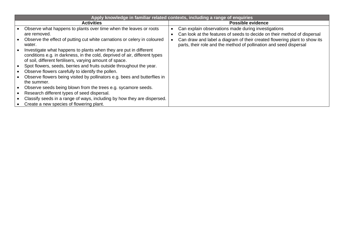| Apply knowledge in familiar related contexts, including a range of enquiries                                                                                                                                |  |                                                                                                                                                 |  |  |
|-------------------------------------------------------------------------------------------------------------------------------------------------------------------------------------------------------------|--|-------------------------------------------------------------------------------------------------------------------------------------------------|--|--|
| <b>Activities</b>                                                                                                                                                                                           |  | <b>Possible evidence</b>                                                                                                                        |  |  |
| Observe what happens to plants over time when the leaves or roots<br>are removed.                                                                                                                           |  | Can explain observations made during investigations<br>Can look at the features of seeds to decide on their method of dispersal                 |  |  |
| Observe the effect of putting cut white carnations or celery in coloured<br>water.                                                                                                                          |  | Can draw and label a diagram of their created flowering plant to show its<br>parts, their role and the method of pollination and seed dispersal |  |  |
| Investigate what happens to plants when they are put in different<br>conditions e.g. in darkness, in the cold, deprived of air, different types<br>of soil, different fertilisers, varying amount of space. |  |                                                                                                                                                 |  |  |
| Spot flowers, seeds, berries and fruits outside throughout the year.                                                                                                                                        |  |                                                                                                                                                 |  |  |
| Observe flowers carefully to identify the pollen.                                                                                                                                                           |  |                                                                                                                                                 |  |  |
| Observe flowers being visited by pollinators e.g. bees and butterflies in<br>the summer.                                                                                                                    |  |                                                                                                                                                 |  |  |
| Observe seeds being blown from the trees e.g. sycamore seeds.                                                                                                                                               |  |                                                                                                                                                 |  |  |
| Research different types of seed dispersal.                                                                                                                                                                 |  |                                                                                                                                                 |  |  |
| Classify seeds in a range of ways, including by how they are dispersed.                                                                                                                                     |  |                                                                                                                                                 |  |  |
| Create a new species of flowering plant.                                                                                                                                                                    |  |                                                                                                                                                 |  |  |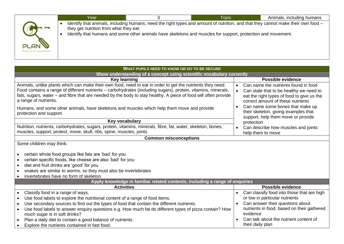| Identify that animals, including humans, need the right types and amount of nutrition, and that they cannot make their own food –<br>they get nutrition from what they eat.<br>Identify that humans and some other animals have skeletons and muscles for support, protection and movement. | Year | <b>Topic</b> | Animals, including humans |
|---------------------------------------------------------------------------------------------------------------------------------------------------------------------------------------------------------------------------------------------------------------------------------------------|------|--------------|---------------------------|
| <b>PLAN</b><br>Planning for assessment                                                                                                                                                                                                                                                      |      |              |                           |
| <b>WHAT DUDILE NEED TO KNOW OP DO TO BE SECURE</b>                                                                                                                                                                                                                                          |      |              |                           |

| <u>THE POLICE INCLUITY INTO THE BEGINE IN THE SCOTT OF A LIGHT IN THE BEGINN ON THE BEGINN OF THE BEGINN OF THE BEGINN OF THE BEGINN OF THE BEGINN OF THE BEGINN OF THE BEGINN OF THE BEGINN OF THE BEGINN OF THE BEGINN OF THE </u>                                                                                                                                                                                                                                                                                                |                                                                                                                                                                                                                                          |  |  |  |
|-------------------------------------------------------------------------------------------------------------------------------------------------------------------------------------------------------------------------------------------------------------------------------------------------------------------------------------------------------------------------------------------------------------------------------------------------------------------------------------------------------------------------------------|------------------------------------------------------------------------------------------------------------------------------------------------------------------------------------------------------------------------------------------|--|--|--|
| Show understanding of a concept using scientific vocabulary correctly                                                                                                                                                                                                                                                                                                                                                                                                                                                               |                                                                                                                                                                                                                                          |  |  |  |
| <b>Key learning</b>                                                                                                                                                                                                                                                                                                                                                                                                                                                                                                                 | <b>Possible evidence</b>                                                                                                                                                                                                                 |  |  |  |
| Animals, unlike plants which can make their own food, need to eat in order to get the nutrients they need.<br>Food contains a range of different nutrients – carbohydrates (including sugars), protein, vitamins, minerals,<br>fats, sugars, water – and fibre that are needed by the body to stay healthy. A piece of food will often provide<br>a range of nutrients.                                                                                                                                                             | Can name the nutrients found in food<br>Can state that to be healthy we need to<br>eat the right types of food to give us the<br>correct amount of these nutrients                                                                       |  |  |  |
| Humans, and some other animals, have skeletons and muscles which help them move and provide<br>protection and support.                                                                                                                                                                                                                                                                                                                                                                                                              | Can name some bones that make up<br>their skeleton, giving examples that<br>support, help them move or provide                                                                                                                           |  |  |  |
| Key vocabulary                                                                                                                                                                                                                                                                                                                                                                                                                                                                                                                      | protection                                                                                                                                                                                                                               |  |  |  |
| Nutrition, nutrients, carbohydrates, sugars, protein, vitamins, minerals, fibre, fat, water, skeleton, bones,<br>muscles, support, protect, move, skull, ribs, spine, muscles, joints                                                                                                                                                                                                                                                                                                                                               | Can describe how muscles and joints<br>help them to move                                                                                                                                                                                 |  |  |  |
| <b>Common misconceptions</b>                                                                                                                                                                                                                                                                                                                                                                                                                                                                                                        |                                                                                                                                                                                                                                          |  |  |  |
| Some children may think:<br>certain whole food groups like fats are 'bad' for you<br>certain specific foods, like cheese are also 'bad' for you<br>diet and fruit drinks are 'good' for you<br>snakes are similar to worms, so they must also be invertebrates<br>invertebrates have no form of skeleton.                                                                                                                                                                                                                           |                                                                                                                                                                                                                                          |  |  |  |
| Apply knowledge in familiar related contexts, including a range of enquiries                                                                                                                                                                                                                                                                                                                                                                                                                                                        | <b>Possible evidence</b>                                                                                                                                                                                                                 |  |  |  |
| <b>Activities</b><br>Classify food in a range of ways.<br>$\bullet$<br>Use food labels to explore the nutritional content of a range of food items.<br>$\bullet$<br>Use secondary sources to find out the types of food that contain the different nutrients.<br>$\bullet$<br>Use food labels to answer enquiry questions e.g. How much fat do different types of pizza contain? How<br>much sugar is in soft drinks?<br>Plan a daily diet to contain a good balance of nutrients.<br>Explore the nutrients contained in fast food. | Can classify food into those that are high<br>or low in particular nutrients<br>Can answer their questions about<br>nutrients in food, based on their gathered<br>evidence<br>Can talk about the nutrient content of<br>their daily plan |  |  |  |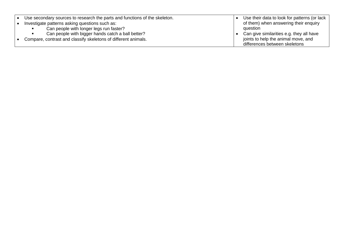| Use secondary sources to research the parts and functions of the skeleton. | Use their data to look for patterns (or lack |
|----------------------------------------------------------------------------|----------------------------------------------|
| Investigate patterns asking questions such as:                             | of them) when answering their enquiry        |
| Can people with longer legs run faster?                                    | question                                     |
| Can people with bigger hands catch a ball better?                          | Can give similarities e.g. they all have     |
| Compare, contrast and classify skeletons of different animals.             | joints to help the animal move, and          |
|                                                                            | differences between skeletons                |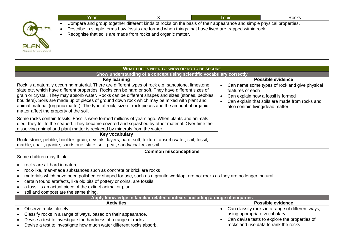|                         | Year |                                                                                                                                                                                                                                                                                              | Topic | Rocks |  |  |
|-------------------------|------|----------------------------------------------------------------------------------------------------------------------------------------------------------------------------------------------------------------------------------------------------------------------------------------------|-------|-------|--|--|
|                         |      | Compare and group together different kinds of rocks on the basis of their appearance and simple physical properties.<br>Describe in simple terms how fossils are formed when things that have lived are trapped within rock.<br>Recognise that soils are made from rocks and organic matter. |       |       |  |  |
| Planning for assessment |      |                                                                                                                                                                                                                                                                                              |       |       |  |  |

| <b>WHAT PUPILS NEED TO KNOW OR DO TO BE SECURE</b>                                                                                                                                                                                                                                                                                                                                                                                                                                                                                                                |                                                                                                                                                                                                           |  |  |  |  |
|-------------------------------------------------------------------------------------------------------------------------------------------------------------------------------------------------------------------------------------------------------------------------------------------------------------------------------------------------------------------------------------------------------------------------------------------------------------------------------------------------------------------------------------------------------------------|-----------------------------------------------------------------------------------------------------------------------------------------------------------------------------------------------------------|--|--|--|--|
| Show understanding of a concept using scientific vocabulary correctly                                                                                                                                                                                                                                                                                                                                                                                                                                                                                             |                                                                                                                                                                                                           |  |  |  |  |
| <b>Key learning</b>                                                                                                                                                                                                                                                                                                                                                                                                                                                                                                                                               | Possible evidence                                                                                                                                                                                         |  |  |  |  |
| Rock is a naturally occurring material. There are different types of rock e.g. sandstone, limestone,<br>slate etc. which have different properties. Rocks can be hard or soft. They have different sizes of<br>grain or crystal. They may absorb water. Rocks can be different shapes and sizes (stones, pebbles,<br>boulders). Soils are made up of pieces of ground down rock which may be mixed with plant and<br>animal material (organic matter). The type of rock, size of rock pieces and the amount of organic<br>matter affect the property of the soil. | Can name some types of rock and give physical<br>features of each<br>Can explain how a fossil is formed<br>$\bullet$<br>Can explain that soils are made from rocks and<br>also contain living/dead matter |  |  |  |  |
| Some rocks contain fossils. Fossils were formed millions of years ago. When plants and animals<br>died, they fell to the seabed. They became covered and squashed by other material. Over time the<br>dissolving animal and plant matter is replaced by minerals from the water.                                                                                                                                                                                                                                                                                  |                                                                                                                                                                                                           |  |  |  |  |
| Key vocabulary                                                                                                                                                                                                                                                                                                                                                                                                                                                                                                                                                    |                                                                                                                                                                                                           |  |  |  |  |
| Rock, stone, pebble, boulder, grain, crystals, layers, hard, soft, texture, absorb water, soil, fossil,<br>marble, chalk, granite, sandstone, slate, soil, peat, sandy/chalk/clay soil                                                                                                                                                                                                                                                                                                                                                                            |                                                                                                                                                                                                           |  |  |  |  |
| <b>Common misconceptions</b>                                                                                                                                                                                                                                                                                                                                                                                                                                                                                                                                      |                                                                                                                                                                                                           |  |  |  |  |
| Some children may think:                                                                                                                                                                                                                                                                                                                                                                                                                                                                                                                                          |                                                                                                                                                                                                           |  |  |  |  |
| rocks are all hard in nature<br>rock-like, man-made substances such as concrete or brick are rocks<br>materials which have been polished or shaped for use, such as a granite worktop, are not rocks as they are no longer 'natural'<br>$\bullet$<br>certain found artefacts, like old bits of pottery or coins, are fossils<br>$\bullet$<br>a fossil is an actual piece of the extinct animal or plant<br>soil and compost are the same thing.                                                                                                                   |                                                                                                                                                                                                           |  |  |  |  |
| Apply knowledge in familiar related contexts, including a range of enquiries                                                                                                                                                                                                                                                                                                                                                                                                                                                                                      |                                                                                                                                                                                                           |  |  |  |  |
| <b>Activities</b>                                                                                                                                                                                                                                                                                                                                                                                                                                                                                                                                                 | Possible evidence                                                                                                                                                                                         |  |  |  |  |
| Observe rocks closely.<br>$\bullet$<br>Classify rocks in a range of ways, based on their appearance.<br>$\bullet$<br>Devise a test to investigate the hardness of a range of rocks.                                                                                                                                                                                                                                                                                                                                                                               | Can classify rocks in a range of different ways,<br>using appropriate vocabulary<br>Can devise tests to explore the properties of<br>rocks and use data to rank the rocks                                 |  |  |  |  |
| Devise a test to investigate how much water different rocks absorb.                                                                                                                                                                                                                                                                                                                                                                                                                                                                                               |                                                                                                                                                                                                           |  |  |  |  |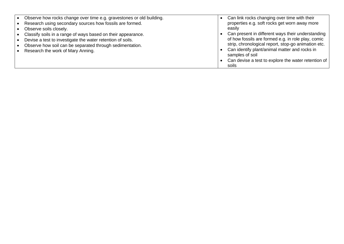|           | Observe how rocks change over time e.g. gravestones or old building. | Can link rocks changing over time with their                     |
|-----------|----------------------------------------------------------------------|------------------------------------------------------------------|
| $\bullet$ | Research using secondary sources how fossils are formed.             | properties e.g. soft rocks get worn away more                    |
| $\bullet$ | Observe soils closely.                                               | easilv                                                           |
| $\bullet$ | Classify soils in a range of ways based on their appearance.         | Can present in different ways their understanding                |
| $\bullet$ | Devise a test to investigate the water retention of soils.           | of how fossils are formed e.g. in role play, comic               |
|           | Observe how soil can be separated through sedimentation.             | strip, chronological report, stop-go animation etc.              |
|           | Research the work of Mary Anning.                                    | Can identify plant/animal matter and rocks in<br>samples of soil |
|           |                                                                      | Can devise a test to explore the water retention of              |
|           |                                                                      | soils                                                            |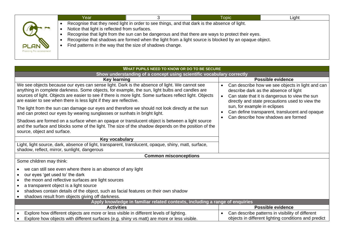|                                        | Year                                                                                                       |                                                                                               | <b>Topic</b>                                                                                                                                                                                              | Light |
|----------------------------------------|------------------------------------------------------------------------------------------------------------|-----------------------------------------------------------------------------------------------|-----------------------------------------------------------------------------------------------------------------------------------------------------------------------------------------------------------|-------|
| <b>PLAN</b><br>Planning for assessment | Notice that light is reflected from surfaces.<br>Find patterns in the way that the size of shadows change. | Recognise that they need light in order to see things, and that dark is the absence of light. | Recognise that light from the sun can be dangerous and that there are ways to protect their eyes.<br>Recognise that shadows are formed when the light from a light source is blocked by an opaque object. |       |

| <b>WHAT PUPILS NEED TO KNOW OR DO TO BE SECURE</b>                                                                                                                                                                                                                                                                                                                                                                                                                                                                                                                |                                                                                                                                                                                                                                                                                                                                                                |  |  |  |  |
|-------------------------------------------------------------------------------------------------------------------------------------------------------------------------------------------------------------------------------------------------------------------------------------------------------------------------------------------------------------------------------------------------------------------------------------------------------------------------------------------------------------------------------------------------------------------|----------------------------------------------------------------------------------------------------------------------------------------------------------------------------------------------------------------------------------------------------------------------------------------------------------------------------------------------------------------|--|--|--|--|
| Show understanding of a concept using scientific vocabulary correctly                                                                                                                                                                                                                                                                                                                                                                                                                                                                                             |                                                                                                                                                                                                                                                                                                                                                                |  |  |  |  |
| <b>Key learning</b>                                                                                                                                                                                                                                                                                                                                                                                                                                                                                                                                               | <b>Possible evidence</b>                                                                                                                                                                                                                                                                                                                                       |  |  |  |  |
| We see objects because our eyes can sense light. Dark is the absence of light. We cannot see<br>anything in complete darkness. Some objects, for example, the sun, light bulbs and candles are<br>sources of light. Objects are easier to see if there is more light. Some surfaces reflect light. Objects<br>are easier to see when there is less light if they are reflective.<br>The light from the sun can damage our eyes and therefore we should not look directly at the sun<br>and can protect our eyes by wearing sunglasses or sunhats in bright light. | Can describe how we see objects in light and can<br>$\bullet$<br>describe dark as the absence of light<br>Can state that it is dangerous to view the sun<br>$\bullet$<br>directly and state precautions used to view the<br>sun, for example in eclipses<br>Can define transparent, translucent and opaque<br>Can describe how shadows are formed<br>$\bullet$ |  |  |  |  |
| Shadows are formed on a surface when an opaque or translucent object is between a light source<br>and the surface and blocks some of the light. The size of the shadow depends on the position of the<br>source, object and surface.                                                                                                                                                                                                                                                                                                                              |                                                                                                                                                                                                                                                                                                                                                                |  |  |  |  |
| Key vocabulary                                                                                                                                                                                                                                                                                                                                                                                                                                                                                                                                                    |                                                                                                                                                                                                                                                                                                                                                                |  |  |  |  |
| Light, light source, dark, absence of light, transparent, translucent, opaque, shiny, matt, surface,<br>shadow, reflect, mirror, sunlight, dangerous                                                                                                                                                                                                                                                                                                                                                                                                              |                                                                                                                                                                                                                                                                                                                                                                |  |  |  |  |
| <b>Common misconceptions</b>                                                                                                                                                                                                                                                                                                                                                                                                                                                                                                                                      |                                                                                                                                                                                                                                                                                                                                                                |  |  |  |  |
| Some children may think:                                                                                                                                                                                                                                                                                                                                                                                                                                                                                                                                          |                                                                                                                                                                                                                                                                                                                                                                |  |  |  |  |
| we can still see even where there is an absence of any light<br>our eyes 'get used to' the dark<br>$\bullet$<br>the moon and reflective surfaces are light sources<br>$\bullet$<br>a transparent object is a light source<br>shadows contain details of the object, such as facial features on their own shadow<br>shadows result from objects giving off darkness.                                                                                                                                                                                               |                                                                                                                                                                                                                                                                                                                                                                |  |  |  |  |
| Apply knowledge in familiar related contexts, including a range of enquiries                                                                                                                                                                                                                                                                                                                                                                                                                                                                                      |                                                                                                                                                                                                                                                                                                                                                                |  |  |  |  |
| <b>Activities</b>                                                                                                                                                                                                                                                                                                                                                                                                                                                                                                                                                 | <b>Possible evidence</b>                                                                                                                                                                                                                                                                                                                                       |  |  |  |  |
| Explore how different objects are more or less visible in different levels of lighting.<br>Explore how objects with different surfaces (e.g. shiny vs matt) are more or less visible.                                                                                                                                                                                                                                                                                                                                                                             | Can describe patterns in visibility of different<br>objects in different lighting conditions and predict                                                                                                                                                                                                                                                       |  |  |  |  |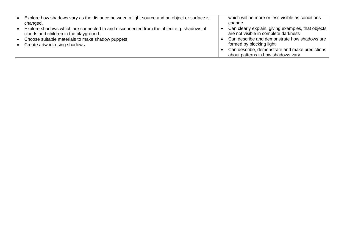| Explore how shadows vary as the distance between a light source and an object or surface is                                       | which will be more or less visible as conditions                                           |
|-----------------------------------------------------------------------------------------------------------------------------------|--------------------------------------------------------------------------------------------|
| changed.                                                                                                                          | change                                                                                     |
| Explore shadows which are connected to and disconnected from the object e.g. shadows of<br>clouds and children in the playground. | Can clearly explain, giving examples, that objects<br>are not visible in complete darkness |
| Choose suitable materials to make shadow puppets.                                                                                 | Can describe and demonstrate how shadows are                                               |
| Create artwork using shadows.                                                                                                     | formed by blocking light                                                                   |
|                                                                                                                                   | Can describe, demonstrate and make predictions                                             |
|                                                                                                                                   | about patterns in how shadows vary                                                         |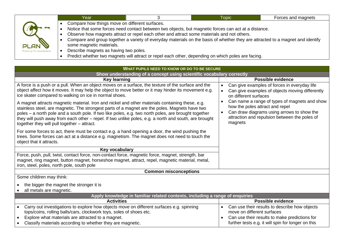|                                        | Year                                                                                                                |                                                                                            | <b>Topic</b>                                                                                                                                                                                                                                                                                                                                 | Forces and magnets |
|----------------------------------------|---------------------------------------------------------------------------------------------------------------------|--------------------------------------------------------------------------------------------|----------------------------------------------------------------------------------------------------------------------------------------------------------------------------------------------------------------------------------------------------------------------------------------------------------------------------------------------|--------------------|
| <b>PLAN</b><br>Planning for assessment | Compare how things move on different surfaces.<br>some magnetic materials.<br>Describe magnets as having two poles. | Observe how magnets attract or repel each other and attract some materials and not others. | Notice that some forces need contact between two objects, but magnetic forces can act at a distance.<br>Compare and group together a variety of everyday materials on the basis of whether they are attracted to a magnet and identify<br>Predict whether two magnets will attract or repel each other, depending on which poles are facing. |                    |

| WHAT PUPILS NEED TO KNOW OR DO TO BE SECURE                                                                                                                                                                                                                                                                                                                                                                                                                       |                                                                                                                                                                                            |  |  |  |  |
|-------------------------------------------------------------------------------------------------------------------------------------------------------------------------------------------------------------------------------------------------------------------------------------------------------------------------------------------------------------------------------------------------------------------------------------------------------------------|--------------------------------------------------------------------------------------------------------------------------------------------------------------------------------------------|--|--|--|--|
| Show understanding of a concept using scientific vocabulary correctly                                                                                                                                                                                                                                                                                                                                                                                             |                                                                                                                                                                                            |  |  |  |  |
| <b>Key learning</b>                                                                                                                                                                                                                                                                                                                                                                                                                                               | <b>Possible evidence</b>                                                                                                                                                                   |  |  |  |  |
| A force is a push or a pull. When an object moves on a surface, the texture of the surface and the<br>object affect how it moves. It may help the object to move better or it may hinder its movement e.g.<br>ice skater compared to walking on ice in normal shoes.                                                                                                                                                                                              | Can give examples of forces in everyday life<br>Can give examples of objects moving differently<br>$\bullet$<br>on different surfaces                                                      |  |  |  |  |
| A magnet attracts magnetic material. Iron and nickel and other materials containing these, e.g.<br>stainless steel, are magnetic. The strongest parts of a magnet are the poles. Magnets have two<br>poles - a north pole and a south pole. If two like poles, e.g. two north poles, are brought together<br>they will push away from each other – repel. If two unlike poles, e.g. a north and south, are brought<br>together they will pull together – attract. | Can name a range of types of magnets and show<br>how the poles attract and repel<br>Can draw diagrams using arrows to show the<br>attraction and repulsion between the poles of<br>magnets |  |  |  |  |
| For some forces to act, there must be contact e.g. a hand opening a door, the wind pushing the<br>trees. Some forces can act at a distance e.g. magnetism. The magnet does not need to touch the<br>object that it attracts.                                                                                                                                                                                                                                      |                                                                                                                                                                                            |  |  |  |  |
| Key vocabulary                                                                                                                                                                                                                                                                                                                                                                                                                                                    |                                                                                                                                                                                            |  |  |  |  |
| Force, push, pull, twist, contact force, non-contact force, magnetic force, magnet, strength, bar<br>magnet, ring magnet, button magnet, horseshoe magnet, attract, repel, magnetic material, metal,<br>iron, steel, poles, north pole, south pole                                                                                                                                                                                                                |                                                                                                                                                                                            |  |  |  |  |
| <b>Common misconceptions</b>                                                                                                                                                                                                                                                                                                                                                                                                                                      |                                                                                                                                                                                            |  |  |  |  |
| Some children may think:                                                                                                                                                                                                                                                                                                                                                                                                                                          |                                                                                                                                                                                            |  |  |  |  |
| the bigger the magnet the stronger it is<br>all metals are magnetic.                                                                                                                                                                                                                                                                                                                                                                                              |                                                                                                                                                                                            |  |  |  |  |
| Apply knowledge in familiar related contexts, including a range of enquiries                                                                                                                                                                                                                                                                                                                                                                                      |                                                                                                                                                                                            |  |  |  |  |
| <b>Activities</b>                                                                                                                                                                                                                                                                                                                                                                                                                                                 | <b>Possible evidence</b>                                                                                                                                                                   |  |  |  |  |
| Carry out investigations to explore how objects move on different surfaces e.g. spinning<br>tops/coins, rolling balls/cars, clockwork toys, soles of shoes etc.                                                                                                                                                                                                                                                                                                   | Can use their results to describe how objects<br>move on different surfaces                                                                                                                |  |  |  |  |
| Explore what materials are attracted to a magnet.                                                                                                                                                                                                                                                                                                                                                                                                                 | Can use their results to make predictions for                                                                                                                                              |  |  |  |  |
| Classify materials according to whether they are magnetic.                                                                                                                                                                                                                                                                                                                                                                                                        | further tests e.g. it will spin for longer on this                                                                                                                                         |  |  |  |  |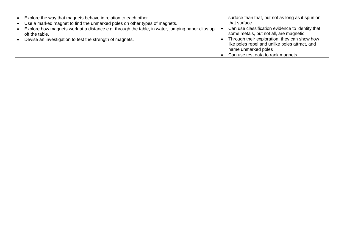| Explore the way that magnets behave in relation to each other.<br>Use a marked magnet to find the unmarked poles on other types of magnets.<br>Explore how magnets work at a distance e.g. through the table, in water, jumping paper clips up<br>off the table.<br>Devise an investigation to test the strength of magnets. | surface than that, but not as long as it spun on<br>that surface<br>Can use classification evidence to identify that<br>some metals, but not all, are magnetic<br>Through their exploration, they can show how<br>like poles repel and unlike poles attract, and<br>name unmarked poles |
|------------------------------------------------------------------------------------------------------------------------------------------------------------------------------------------------------------------------------------------------------------------------------------------------------------------------------|-----------------------------------------------------------------------------------------------------------------------------------------------------------------------------------------------------------------------------------------------------------------------------------------|
|                                                                                                                                                                                                                                                                                                                              | Can use test data to rank magnets                                                                                                                                                                                                                                                       |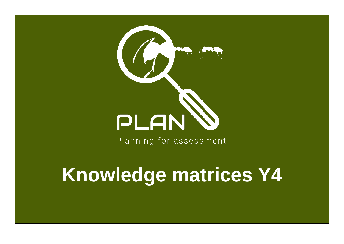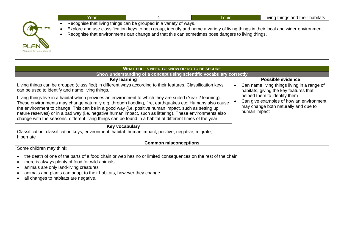| Recognise that living things can be grouped in a variety of ways.<br>Explore and use classification keys to help group, identify and name a variety of living things in their local and wider environment.<br>Recognise that environments can change and that this can sometimes pose dangers to living things. |      | Year | <b>Topic</b> | Living things and their habitats |
|-----------------------------------------------------------------------------------------------------------------------------------------------------------------------------------------------------------------------------------------------------------------------------------------------------------------|------|------|--------------|----------------------------------|
|                                                                                                                                                                                                                                                                                                                 |      |      |              |                                  |
| Planning for assessment                                                                                                                                                                                                                                                                                         | PLAN |      |              |                                  |

| <b>WHAT PUPILS NEED TO KNOW OR DO TO BE SECURE</b>                                                                                                                                                                                                                                                                                                                                                                                                                                                                                                                                                                                                                                                                         |                                                                                                                                                                                                                                       |  |  |  |
|----------------------------------------------------------------------------------------------------------------------------------------------------------------------------------------------------------------------------------------------------------------------------------------------------------------------------------------------------------------------------------------------------------------------------------------------------------------------------------------------------------------------------------------------------------------------------------------------------------------------------------------------------------------------------------------------------------------------------|---------------------------------------------------------------------------------------------------------------------------------------------------------------------------------------------------------------------------------------|--|--|--|
| Show understanding of a concept using scientific vocabulary correctly                                                                                                                                                                                                                                                                                                                                                                                                                                                                                                                                                                                                                                                      |                                                                                                                                                                                                                                       |  |  |  |
| Key learning                                                                                                                                                                                                                                                                                                                                                                                                                                                                                                                                                                                                                                                                                                               | <b>Possible evidence</b>                                                                                                                                                                                                              |  |  |  |
| Living things can be grouped (classified) in different ways according to their features. Classification keys<br>can be used to identify and name living things.<br>Living things live in a habitat which provides an environment to which they are suited (Year 2 learning).<br>These environments may change naturally e.g. through flooding, fire, earthquakes etc. Humans also cause<br>the environment to change. This can be in a good way (i.e. positive human impact, such as setting up<br>nature reserves) or in a bad way (i.e. negative human impact, such as littering). These environments also<br>change with the seasons; different living things can be found in a habitat at different times of the year. | Can name living things living in a range of<br>$\bullet$<br>habitats, giving the key features that<br>helped them to identify them<br>Can give examples of how an environment<br>may change both naturally and due to<br>human impact |  |  |  |
| Key vocabulary                                                                                                                                                                                                                                                                                                                                                                                                                                                                                                                                                                                                                                                                                                             |                                                                                                                                                                                                                                       |  |  |  |
| Classification, classification keys, environment, habitat, human impact, positive, negative, migrate,<br>hibernate                                                                                                                                                                                                                                                                                                                                                                                                                                                                                                                                                                                                         |                                                                                                                                                                                                                                       |  |  |  |
| <b>Common misconceptions</b>                                                                                                                                                                                                                                                                                                                                                                                                                                                                                                                                                                                                                                                                                               |                                                                                                                                                                                                                                       |  |  |  |
| Some children may think:                                                                                                                                                                                                                                                                                                                                                                                                                                                                                                                                                                                                                                                                                                   |                                                                                                                                                                                                                                       |  |  |  |
| the death of one of the parts of a food chain or web has no or limited consequences on the rest of the chain<br>there is always plenty of food for wild animals<br>animals are only land-living creatures<br>animals and plants can adapt to their habitats, however they change<br>all changes to habitats are negative.                                                                                                                                                                                                                                                                                                                                                                                                  |                                                                                                                                                                                                                                       |  |  |  |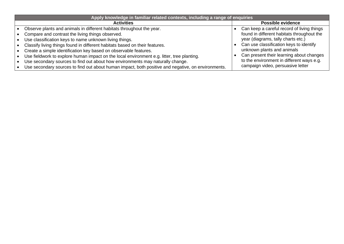| Apply knowledge in familiar related contexts, including a range of enquiries                       |                                            |
|----------------------------------------------------------------------------------------------------|--------------------------------------------|
| <b>Activities</b>                                                                                  | <b>Possible evidence</b>                   |
| Observe plants and animals in different habitats throughout the year.                              | Can keep a careful record of living things |
| Compare and contrast the living things observed.                                                   | found in different habitats throughout the |
| Use classification keys to name unknown living things.                                             | year (diagrams, tally charts etc.)         |
| Classify living things found in different habitats based on their features.                        | Can use classification keys to identify    |
| Create a simple identification key based on observable features.                                   | unknown plants and animals                 |
| Use fieldwork to explore human impact on the local environment e.g. litter, tree planting.         | Can present their learning about changes   |
| Use secondary sources to find out about how environments may naturally change.                     | to the environment in different ways e.g.  |
| Use secondary sources to find out about human impact, both positive and negative, on environments. | campaign video, persuasive letter          |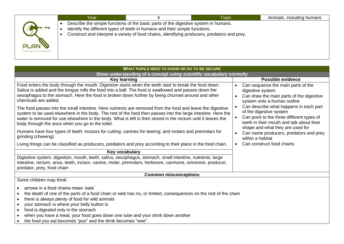| Describe the simple functions of the basic parts of the digestive system in humans.<br>Identify the different types of teeth in humans and their simple functions.<br>Construct and interpret a variety of food chains, identifying producers, predators and prey.<br>PLAN<br>Planning for assessment | Year |  | <b>Topic</b> | Animals, including humans |  |  |  |
|-------------------------------------------------------------------------------------------------------------------------------------------------------------------------------------------------------------------------------------------------------------------------------------------------------|------|--|--------------|---------------------------|--|--|--|
|                                                                                                                                                                                                                                                                                                       |      |  |              |                           |  |  |  |
|                                                                                                                                                                                                                                                                                                       |      |  |              |                           |  |  |  |
|                                                                                                                                                                                                                                                                                                       |      |  |              |                           |  |  |  |

| WHAT PUPILS NEED TO KNOW OR DO TO BE SECURE                                                                                                                                                                                                                                                                                                                                                                                                                                                                                                                                                                                                                                                                                                                                                                                                                                                                                                                                                      |                                                                                                                                                                                                                                                                                                                                                                                                                                              |  |  |  |  |
|--------------------------------------------------------------------------------------------------------------------------------------------------------------------------------------------------------------------------------------------------------------------------------------------------------------------------------------------------------------------------------------------------------------------------------------------------------------------------------------------------------------------------------------------------------------------------------------------------------------------------------------------------------------------------------------------------------------------------------------------------------------------------------------------------------------------------------------------------------------------------------------------------------------------------------------------------------------------------------------------------|----------------------------------------------------------------------------------------------------------------------------------------------------------------------------------------------------------------------------------------------------------------------------------------------------------------------------------------------------------------------------------------------------------------------------------------------|--|--|--|--|
| Show understanding of a concept using scientific vocabulary correctly                                                                                                                                                                                                                                                                                                                                                                                                                                                                                                                                                                                                                                                                                                                                                                                                                                                                                                                            |                                                                                                                                                                                                                                                                                                                                                                                                                                              |  |  |  |  |
| <b>Key learning</b>                                                                                                                                                                                                                                                                                                                                                                                                                                                                                                                                                                                                                                                                                                                                                                                                                                                                                                                                                                              | <b>Possible evidence</b>                                                                                                                                                                                                                                                                                                                                                                                                                     |  |  |  |  |
| Food enters the body through the mouth. Digestion starts when the teeth start to break the food down.<br>Saliva is added and the tongue rolls the food into a ball. The food is swallowed and passes down the<br>oesophagus to the stomach. Here the food is broken down further by being churned around and other<br>chemicals are added.<br>The food passes into the small intestine. Here nutrients are removed from the food and leave the digestive<br>system to be used elsewhere in the body. The rest of the food then passes into the large intestine. Here the<br>water is removed for use elsewhere in the body. What is left is then stored in the rectum until it leaves the<br>body through the anus when you go to the toilet.<br>Humans have four types of teeth: incisors for cutting; canines for tearing; and molars and premolars for<br>grinding (chewing).<br>Living things can be classified as producers, predators and prey according to their place in the food chain. | Can sequence the main parts of the<br>digestive system<br>Can draw the main parts of the digestive<br>system onto a human outline<br>Can describe what happens in each part<br>of the digestive system<br>Can point to the three different types of<br>teeth in their mouth and talk about their<br>shape and what they are used for<br>Can name producers, predators and prey<br>within a habitat<br>Can construct food chains<br>$\bullet$ |  |  |  |  |
| Key vocabulary                                                                                                                                                                                                                                                                                                                                                                                                                                                                                                                                                                                                                                                                                                                                                                                                                                                                                                                                                                                   |                                                                                                                                                                                                                                                                                                                                                                                                                                              |  |  |  |  |
| Digestive system, digestion, mouth, teeth, saliva, oesophagus, stomach, small intestine, nutrients, large<br>intestine, rectum, anus, teeth, incisor, canine, molar, premolars, herbivore, carnivore, omnivore, producer,<br>predator, prey, food chain                                                                                                                                                                                                                                                                                                                                                                                                                                                                                                                                                                                                                                                                                                                                          |                                                                                                                                                                                                                                                                                                                                                                                                                                              |  |  |  |  |
| <b>Common misconceptions</b>                                                                                                                                                                                                                                                                                                                                                                                                                                                                                                                                                                                                                                                                                                                                                                                                                                                                                                                                                                     |                                                                                                                                                                                                                                                                                                                                                                                                                                              |  |  |  |  |
| Some children may think:<br>arrows in a food chains mean 'eats'<br>the death of one of the parts of a food chain or web has no, or limited, consequences on the rest of the chain<br>$\bullet$<br>there is always plenty of food for wild animals<br>$\bullet$<br>your stomach is where your belly button is<br>food is digested only in the stomach<br>$\bullet$<br>when you have a meal, your food goes down one tube and your drink down another<br>the food you eat becomes "poo" and the drink becomes "wee".                                                                                                                                                                                                                                                                                                                                                                                                                                                                               |                                                                                                                                                                                                                                                                                                                                                                                                                                              |  |  |  |  |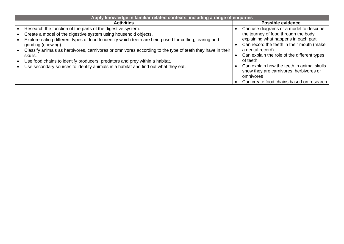| <b>Activities</b>                                                                                                                                                                                                                                                                                                                                                                                                                                                                                                                                            | <b>Possible evidence</b>                                                                                                                                                                                                                                                                                                                                                                              |
|--------------------------------------------------------------------------------------------------------------------------------------------------------------------------------------------------------------------------------------------------------------------------------------------------------------------------------------------------------------------------------------------------------------------------------------------------------------------------------------------------------------------------------------------------------------|-------------------------------------------------------------------------------------------------------------------------------------------------------------------------------------------------------------------------------------------------------------------------------------------------------------------------------------------------------------------------------------------------------|
|                                                                                                                                                                                                                                                                                                                                                                                                                                                                                                                                                              |                                                                                                                                                                                                                                                                                                                                                                                                       |
| Research the function of the parts of the digestive system.<br>Create a model of the digestive system using household objects.<br>Explore eating different types of food to identify which teeth are being used for cutting, tearing and<br>grinding (chewing).<br>Classify animals as herbivores, carnivores or omnivores according to the type of teeth they have in their<br>skulls.<br>Use food chains to identify producers, predators and prey within a habitat.<br>Use secondary sources to identify animals in a habitat and find out what they eat. | Can use diagrams or a model to describe<br>the journey of food through the body<br>explaining what happens in each part<br>Can record the teeth in their mouth (make<br>a dental record)<br>Can explain the role of the different types<br>of teeth<br>Can explain how the teeth in animal skulls<br>show they are carnivores, herbivores or<br>omnivores<br>Can create food chains based on research |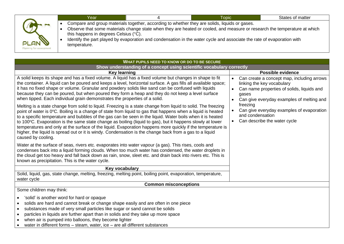|                                        | Year                                                  | <b>Topic</b>                                                                                                                                                                                                                                                                                                                                         | States of matter |
|----------------------------------------|-------------------------------------------------------|------------------------------------------------------------------------------------------------------------------------------------------------------------------------------------------------------------------------------------------------------------------------------------------------------------------------------------------------------|------------------|
| <b>PLAN</b><br>Planning for assessment | this happens in degrees Celsius (°C).<br>temperature. | Compare and group materials together, according to whether they are solids, liquids or gases.<br>Observe that some materials change state when they are heated or cooled, and measure or research the temperature at which<br>Identify the part played by evaporation and condensation in the water cycle and associate the rate of evaporation with |                  |

| WHAT PUPILS NEED TO KNOW OR DO TO BE SECURE                                                                                                                                                                                                                                                                                                                                                                                                                                                                                                                                                                                                                                                                                                                                                                                                                                                                                                                                                                                                                                                                                                                                                                                                                                                                                                                                                                                                                                                                                                                                                                       |                                                                                                                                                                                                                                                                                                                     |  |  |  |
|-------------------------------------------------------------------------------------------------------------------------------------------------------------------------------------------------------------------------------------------------------------------------------------------------------------------------------------------------------------------------------------------------------------------------------------------------------------------------------------------------------------------------------------------------------------------------------------------------------------------------------------------------------------------------------------------------------------------------------------------------------------------------------------------------------------------------------------------------------------------------------------------------------------------------------------------------------------------------------------------------------------------------------------------------------------------------------------------------------------------------------------------------------------------------------------------------------------------------------------------------------------------------------------------------------------------------------------------------------------------------------------------------------------------------------------------------------------------------------------------------------------------------------------------------------------------------------------------------------------------|---------------------------------------------------------------------------------------------------------------------------------------------------------------------------------------------------------------------------------------------------------------------------------------------------------------------|--|--|--|
| Show understanding of a concept using scientific vocabulary correctly                                                                                                                                                                                                                                                                                                                                                                                                                                                                                                                                                                                                                                                                                                                                                                                                                                                                                                                                                                                                                                                                                                                                                                                                                                                                                                                                                                                                                                                                                                                                             |                                                                                                                                                                                                                                                                                                                     |  |  |  |
| <b>Key learning</b>                                                                                                                                                                                                                                                                                                                                                                                                                                                                                                                                                                                                                                                                                                                                                                                                                                                                                                                                                                                                                                                                                                                                                                                                                                                                                                                                                                                                                                                                                                                                                                                               | <b>Possible evidence</b>                                                                                                                                                                                                                                                                                            |  |  |  |
| A solid keeps its shape and has a fixed volume. A liquid has a fixed volume but changes in shape to fit<br>the container. A liquid can be poured and keeps a level, horizontal surface. A gas fills all available space;<br>it has no fixed shape or volume. Granular and powdery solids like sand can be confused with liquids<br>because they can be poured, but when poured they form a heap and they do not keep a level surface<br>when tipped. Each individual grain demonstrates the properties of a solid.<br>Melting is a state change from solid to liquid. Freezing is a state change from liquid to solid. The freezing<br>point of water is 0°C. Boiling is a change of state from liquid to gas that happens when a liquid is heated<br>to a specific temperature and bubbles of the gas can be seen in the liquid. Water boils when it is heated<br>to 100°C. Evaporation is the same state change as boiling (liquid to gas), but it happens slowly at lower<br>temperatures and only at the surface of the liquid. Evaporation happens more quickly if the temperature is<br>higher, the liquid is spread out or it is windy. Condensation is the change back from a gas to a liquid<br>caused by cooling.<br>Water at the surface of seas, rivers etc. evaporates into water vapour (a gas). This rises, cools and<br>condenses back into a liquid forming clouds. When too much water has condensed, the water droplets in<br>the cloud get too heavy and fall back down as rain, snow, sleet etc. and drain back into rivers etc. This is<br>known as precipitation. This is the water cycle. | Can create a concept map, including arrows<br>linking the key vocabulary<br>Can name properties of solids, liquids and<br>$\bullet$<br>gases<br>Can give everyday examples of melting and<br>freezing<br>Can give everyday examples of evaporation<br>and condensation<br>Can describe the water cycle<br>$\bullet$ |  |  |  |
| Key vocabulary                                                                                                                                                                                                                                                                                                                                                                                                                                                                                                                                                                                                                                                                                                                                                                                                                                                                                                                                                                                                                                                                                                                                                                                                                                                                                                                                                                                                                                                                                                                                                                                                    |                                                                                                                                                                                                                                                                                                                     |  |  |  |
| Solid, liquid, gas, state change, melting, freezing, melting point, boiling point, evaporation, temperature,<br>water cycle                                                                                                                                                                                                                                                                                                                                                                                                                                                                                                                                                                                                                                                                                                                                                                                                                                                                                                                                                                                                                                                                                                                                                                                                                                                                                                                                                                                                                                                                                       |                                                                                                                                                                                                                                                                                                                     |  |  |  |
| <b>Common misconceptions</b>                                                                                                                                                                                                                                                                                                                                                                                                                                                                                                                                                                                                                                                                                                                                                                                                                                                                                                                                                                                                                                                                                                                                                                                                                                                                                                                                                                                                                                                                                                                                                                                      |                                                                                                                                                                                                                                                                                                                     |  |  |  |
| Some children may think:<br>'solid' is another word for hard or opaque<br>$\bullet$<br>solids are hard and cannot break or change shape easily and are often in one piece<br>substances made of very small particles like sugar or sand cannot be solids<br>$\bullet$<br>particles in liquids are further apart than in solids and they take up more space<br>$\bullet$<br>when air is pumped into balloons, they become lighter<br>$\bullet$<br>water in different forms - steam, water, ice - are all different substances                                                                                                                                                                                                                                                                                                                                                                                                                                                                                                                                                                                                                                                                                                                                                                                                                                                                                                                                                                                                                                                                                      |                                                                                                                                                                                                                                                                                                                     |  |  |  |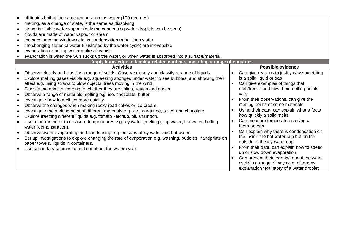|           | all liquids boil at the same temperature as water (100 degrees)                                        |                                            |
|-----------|--------------------------------------------------------------------------------------------------------|--------------------------------------------|
|           | melting, as a change of state, is the same as dissolving                                               |                                            |
|           | steam is visible water vapour (only the condensing water droplets can be seen)                         |                                            |
| $\bullet$ | clouds are made of water vapour or steam                                                               |                                            |
|           | the substance on windows etc. is condensation rather than water                                        |                                            |
|           | the changing states of water (illustrated by the water cycle) are irreversible                         |                                            |
|           | evaporating or boiling water makes it vanish                                                           |                                            |
|           | evaporation is when the Sun sucks up the water, or when water is absorbed into a surface/material.     |                                            |
|           | Apply knowledge in familiar related contexts, including a range of enquiries                           |                                            |
|           | <b>Activities</b>                                                                                      | Possible evidence                          |
|           | Observe closely and classify a range of solids. Observe closely and classify a range of liquids.       | Can give reasons to justify why something  |
|           | Explore making gases visible e.g. squeezing sponges under water to see bubbles, and showing their      | is a solid liquid or gas                   |
|           | effect e.g. using straws to blow objects, trees moving in the wind.                                    | Can give examples of things that           |
| $\bullet$ | Classify materials according to whether they are solids, liquids and gases.                            | melt/freeze and how their melting points   |
|           | Observe a range of materials melting e.g. ice, chocolate, butter.                                      | vary                                       |
| $\bullet$ | Investigate how to melt ice more quickly.                                                              | From their observations, can give the      |
| $\bullet$ | Observe the changes when making rocky road cakes or ice-cream.                                         | melting points of some materials           |
|           | Investigate the melting point of different materials e.g. ice, margarine, butter and chocolate.        | Using their data, can explain what affects |
|           | Explore freezing different liquids e.g. tomato ketchup, oil, shampoo.                                  | how quickly a solid melts                  |
|           | Use a thermometer to measure temperatures e.g. icy water (melting), tap water, hot water, boiling      | Can measure temperatures using a           |
|           | water (demonstration).                                                                                 | thermometer                                |
|           | Observe water evaporating and condensing e.g. on cups of icy water and hot water.                      | Can explain why there is condensation on   |
|           | Set up investigations to explore changing the rate of evaporation e.g. washing, puddles, handprints on | the inside the hot water cup but on the    |
|           | paper towels, liquids in containers.                                                                   | outside of the icy water cup               |
|           | Use secondary sources to find out about the water cycle.                                               | From their data, can explain how to speed  |
|           |                                                                                                        | up or slow down evaporation                |
|           |                                                                                                        | Can present their learning about the water |
|           |                                                                                                        | cycle in a range of ways e.g. diagrams,    |
|           |                                                                                                        | explanation text, story of a water droplet |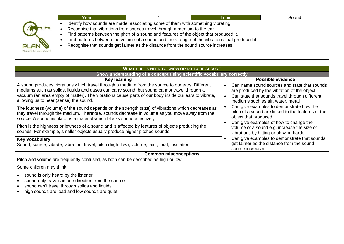|                                          | Year |                                                                                                                                                                                                                                                                                                                                                | <b>Topic</b>                                                                                     | Sound |
|------------------------------------------|------|------------------------------------------------------------------------------------------------------------------------------------------------------------------------------------------------------------------------------------------------------------------------------------------------------------------------------------------------|--------------------------------------------------------------------------------------------------|-------|
| <b>PLAN W</b><br>Planning for assessment |      | Identify how sounds are made, associating some of them with something vibrating.<br>Recognise that vibrations from sounds travel through a medium to the ear.<br>Find patterns between the pitch of a sound and features of the object that produced it.<br>Recognise that sounds get fainter as the distance from the sound source increases. | Find patterns between the volume of a sound and the strength of the vibrations that produced it. |       |

| WHAT PUPILS NEED TO KNOW OR DO TO BE SECURE                                                                                                                                                                                                                                                                                                        |                                                                                                                                                                                                 |
|----------------------------------------------------------------------------------------------------------------------------------------------------------------------------------------------------------------------------------------------------------------------------------------------------------------------------------------------------|-------------------------------------------------------------------------------------------------------------------------------------------------------------------------------------------------|
| Show understanding of a concept using scientific vocabulary correctly                                                                                                                                                                                                                                                                              |                                                                                                                                                                                                 |
| <b>Key learning</b>                                                                                                                                                                                                                                                                                                                                | Possible evidence                                                                                                                                                                               |
| A sound produces vibrations which travel through a medium from the source to our ears. Different<br>mediums such as solids, liquids and gases can carry sound, but sound cannot travel through a<br>vacuum (an area empty of matter). The vibrations cause parts of our body inside our ears to vibrate,<br>allowing us to hear (sense) the sound. | Can name sound sources and state that sounds<br>are produced by the vibration of the object<br>Can state that sounds travel through different<br>$\bullet$<br>mediums such as air, water, metal |
| The loudness (volume) of the sound depends on the strength (size) of vibrations which decreases as<br>they travel through the medium. Therefore, sounds decrease in volume as you move away from the<br>source. A sound insulator is a material which blocks sound effectively.                                                                    | Can give examples to demonstrate how the<br>pitch of a sound are linked to the features of the<br>object that produced it                                                                       |
| Pitch is the highness or lowness of a sound and is affected by features of objects producing the<br>sounds. For example, smaller objects usually produce higher pitched sounds.                                                                                                                                                                    | Can give examples of how to change the<br>volume of a sound e.g. increase the size of<br>vibrations by hitting or blowing harder                                                                |
| Key vocabulary                                                                                                                                                                                                                                                                                                                                     | Can give examples to demonstrate that sounds                                                                                                                                                    |
| Sound, source, vibrate, vibration, travel, pitch (high, low), volume, faint, loud, insulation                                                                                                                                                                                                                                                      | get fainter as the distance from the sound<br>source increases                                                                                                                                  |
| <b>Common misconceptions</b>                                                                                                                                                                                                                                                                                                                       |                                                                                                                                                                                                 |
| Pitch and volume are frequently confused, as both can be described as high or low.                                                                                                                                                                                                                                                                 |                                                                                                                                                                                                 |
| Some children may think:                                                                                                                                                                                                                                                                                                                           |                                                                                                                                                                                                 |
| sound is only heard by the listener<br>sound only travels in one direction from the source<br>sound can't travel through solids and liquids<br>high sounds are load and low sounds are quiet.                                                                                                                                                      |                                                                                                                                                                                                 |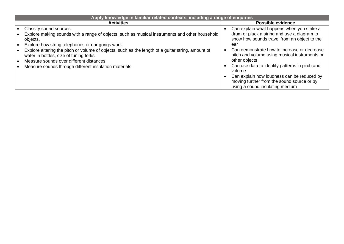| Apply knowledge in familiar related contexts, including a range of enquiries                                                                                                             |  |                                                                                                                                                                 |  |  |
|------------------------------------------------------------------------------------------------------------------------------------------------------------------------------------------|--|-----------------------------------------------------------------------------------------------------------------------------------------------------------------|--|--|
| <b>Activities</b>                                                                                                                                                                        |  | <b>Possible evidence</b>                                                                                                                                        |  |  |
| Classify sound sources.<br>Explore making sounds with a range of objects, such as musical instruments and other household<br>objects.                                                    |  | Can explain what happens when you strike a<br>drum or pluck a string and use a diagram to<br>show how sounds travel from an object to the                       |  |  |
| Explore how string telephones or ear gongs work.                                                                                                                                         |  | ear                                                                                                                                                             |  |  |
| Explore altering the pitch or volume of objects, such as the length of a guitar string, amount of<br>water in bottles, size of tuning forks.<br>Measure sounds over different distances. |  | Can demonstrate how to increase or decrease<br>pitch and volume using musical instruments or<br>other objects<br>Can use data to identify patterns in pitch and |  |  |
| Measure sounds through different insulation materials.                                                                                                                                   |  | volume                                                                                                                                                          |  |  |
|                                                                                                                                                                                          |  | Can explain how loudness can be reduced by<br>moving further from the sound source or by<br>using a sound insulating medium                                     |  |  |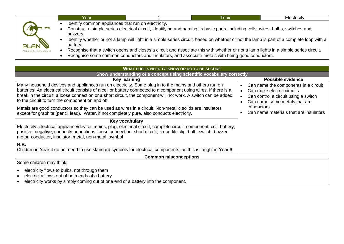|                                                                                                                                                                       | Year. |  | Topic                                                                                                                                                                                                                                    | Electricity |  |
|-----------------------------------------------------------------------------------------------------------------------------------------------------------------------|-------|--|------------------------------------------------------------------------------------------------------------------------------------------------------------------------------------------------------------------------------------------|-------------|--|
| Identify common appliances that run on electricity.                                                                                                                   |       |  |                                                                                                                                                                                                                                          |             |  |
| Construct a simple series electrical circuit, identifying and naming its basic parts, including cells, wires, bulbs, switches and<br>buzzers.                         |       |  |                                                                                                                                                                                                                                          |             |  |
| Identify whether or not a lamp will light in a simple series circuit, based on whether or not the lamp is part of a complete loop with a  <br><b>PLAN</b><br>battery. |       |  |                                                                                                                                                                                                                                          |             |  |
| Planning for assessment                                                                                                                                               |       |  | Recognise that a switch opens and closes a circuit and associate this with whether or not a lamp lights in a simple series circuit.<br>Recognise some common conductors and insulators, and associate metals with being good conductors. |             |  |

| WHAT PUPILS NEED TO KNOW OR DO TO BE SECURE                                                                                                                                                                                                                                                                                                                                                        |                                                                                                                                                          |
|----------------------------------------------------------------------------------------------------------------------------------------------------------------------------------------------------------------------------------------------------------------------------------------------------------------------------------------------------------------------------------------------------|----------------------------------------------------------------------------------------------------------------------------------------------------------|
| Show understanding of a concept using scientific vocabulary correctly                                                                                                                                                                                                                                                                                                                              |                                                                                                                                                          |
| <b>Key learning</b>                                                                                                                                                                                                                                                                                                                                                                                | Possible evidence                                                                                                                                        |
| Many household devices and appliances run on electricity. Some plug in to the mains and others run on<br>batteries. An electrical circuit consists of a cell or battery connected to a component using wires. If there is a<br>break in the circuit, a loose connection or a short circuit, the component will not work. A switch can be added<br>to the circuit to turn the component on and off. | Can name the components in a circuit<br>Can make electric circuits<br>Can control a circuit using a switch<br>$\bullet$<br>Can name some metals that are |
| Metals are good conductors so they can be used as wires in a circuit. Non-metallic solids are insulators<br>except for graphite (pencil lead). Water, if not completely pure, also conducts electricity.                                                                                                                                                                                           | conductors<br>Can name materials that are insulators                                                                                                     |
| Key vocabulary                                                                                                                                                                                                                                                                                                                                                                                     |                                                                                                                                                          |
| Electricity, electrical appliance/device, mains, plug, electrical circuit, complete circuit, component, cell, battery,<br>positive, negative, connect/connections, loose connection, short circuit, crocodile clip, bulb, switch, buzzer,<br>motor, conductor, insulator, metal, non-metal, symbol                                                                                                 |                                                                                                                                                          |
| N.B.                                                                                                                                                                                                                                                                                                                                                                                               |                                                                                                                                                          |
| Children in Year 4 do not need to use standard symbols for electrical components, as this is taught in Year 6.                                                                                                                                                                                                                                                                                     |                                                                                                                                                          |
| <b>Common misconceptions</b>                                                                                                                                                                                                                                                                                                                                                                       |                                                                                                                                                          |
| Some children may think:                                                                                                                                                                                                                                                                                                                                                                           |                                                                                                                                                          |
| electricity flows to bulbs, not through them<br>electricity flows out of both ends of a battery<br>electricity works by simply coming out of one end of a battery into the component.                                                                                                                                                                                                              |                                                                                                                                                          |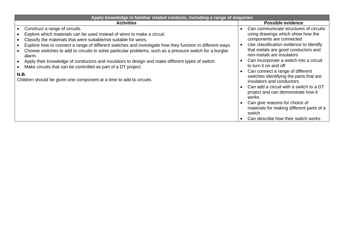| Apply knowledge in familiar related contexts, including a range of enquiries                                                                                      |                                                                             |  |  |  |
|-------------------------------------------------------------------------------------------------------------------------------------------------------------------|-----------------------------------------------------------------------------|--|--|--|
| <b>Activities</b>                                                                                                                                                 | Possible evidence                                                           |  |  |  |
| Construct a range of circuits.                                                                                                                                    | Can communicate structures of circuits                                      |  |  |  |
| Explore which materials can be used instead of wires to make a circuit.                                                                                           | using drawings which show how the                                           |  |  |  |
| Classify the materials that were suitable/not suitable for wires.                                                                                                 | components are connected                                                    |  |  |  |
| Explore how to connect a range of different switches and investigate how they function in different ways.                                                         | Use classification evidence to identify                                     |  |  |  |
| Choose switches to add to circuits to solve particular problems, such as a pressure switch for a burglar<br>alarm.                                                | that metals are good conductors and<br>non-metals are insulators            |  |  |  |
| Apply their knowledge of conductors and insulators to design and make different types of switch.<br>Make circuits that can be controlled as part of a DT project. | Can incorporate a switch into a circuit<br>to turn it on and off            |  |  |  |
| N.B.                                                                                                                                                              | Can connect a range of different<br>switches identifying the parts that are |  |  |  |
| Children should be given one component at a time to add to circuits.                                                                                              | insulators and conductors                                                   |  |  |  |
|                                                                                                                                                                   | Can add a circuit with a switch to a DT                                     |  |  |  |
|                                                                                                                                                                   | project and can demonstrate how it<br>works                                 |  |  |  |
|                                                                                                                                                                   | Can give reasons for choice of                                              |  |  |  |
|                                                                                                                                                                   | materials for making different parts of a<br>switch                         |  |  |  |
|                                                                                                                                                                   | Can describe how their switch works                                         |  |  |  |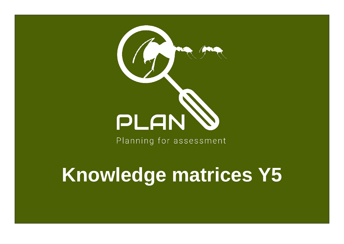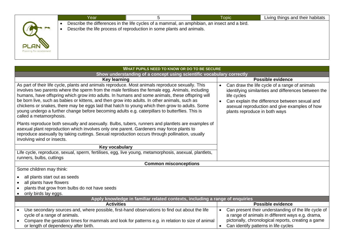|                                 | Year |                                                                                                                                                                       | <b>Topic</b> | Living things and their habitats |
|---------------------------------|------|-----------------------------------------------------------------------------------------------------------------------------------------------------------------------|--------------|----------------------------------|
|                                 |      | Describe the differences in the life cycles of a mammal, an amphibian, an insect and a bird.<br>Describe the life process of reproduction in some plants and animals. |              |                                  |
|                                 |      |                                                                                                                                                                       |              |                                  |
| PLAN<br>Planning for assessment |      |                                                                                                                                                                       |              |                                  |
|                                 |      |                                                                                                                                                                       |              |                                  |

| <b>WHAT PUPILS NEED TO KNOW OR DO TO BE SECURE</b>                                                                                                                                                                                                                                                                                                                                                                                                                                                                                                                                                                                       |                                                                                                                                                                                                                                                                      |  |  |  |
|------------------------------------------------------------------------------------------------------------------------------------------------------------------------------------------------------------------------------------------------------------------------------------------------------------------------------------------------------------------------------------------------------------------------------------------------------------------------------------------------------------------------------------------------------------------------------------------------------------------------------------------|----------------------------------------------------------------------------------------------------------------------------------------------------------------------------------------------------------------------------------------------------------------------|--|--|--|
| Show understanding of a concept using scientific vocabulary correctly                                                                                                                                                                                                                                                                                                                                                                                                                                                                                                                                                                    |                                                                                                                                                                                                                                                                      |  |  |  |
| <b>Key learning</b>                                                                                                                                                                                                                                                                                                                                                                                                                                                                                                                                                                                                                      | <b>Possible evidence</b>                                                                                                                                                                                                                                             |  |  |  |
| As part of their life cycle, plants and animals reproduce. Most animals reproduce sexually. This<br>involves two parents where the sperm from the male fertilises the female egg. Animals, including<br>humans, have offspring which grow into adults. In humans and some animals, these offspring will<br>be born live, such as babies or kittens, and then grow into adults. In other animals, such as<br>chickens or snakes, there may be eggs laid that hatch to young which then grow to adults. Some<br>young undergo a further change before becoming adults e.g. caterpillars to butterflies. This is<br>called a metamorphosis. | Can draw the life cycle of a range of animals<br>$\bullet$<br>identifying similarities and differences between the<br>life cycles<br>Can explain the difference between sexual and<br>asexual reproduction and give examples of how<br>plants reproduce in both ways |  |  |  |
| Plants reproduce both sexually and asexually. Bulbs, tubers, runners and plantlets are examples of<br>asexual plant reproduction which involves only one parent. Gardeners may force plants to<br>reproduce asexually by taking cuttings. Sexual reproduction occurs through pollination, usually<br>involving wind or insects.                                                                                                                                                                                                                                                                                                          |                                                                                                                                                                                                                                                                      |  |  |  |
| Key vocabulary                                                                                                                                                                                                                                                                                                                                                                                                                                                                                                                                                                                                                           |                                                                                                                                                                                                                                                                      |  |  |  |
| Life cycle, reproduce, sexual, sperm, fertilises, egg, live young, metamorphosis, asexual, plantlets,<br>runners, bulbs, cuttings                                                                                                                                                                                                                                                                                                                                                                                                                                                                                                        |                                                                                                                                                                                                                                                                      |  |  |  |
| <b>Common misconceptions</b>                                                                                                                                                                                                                                                                                                                                                                                                                                                                                                                                                                                                             |                                                                                                                                                                                                                                                                      |  |  |  |
| Some children may think:                                                                                                                                                                                                                                                                                                                                                                                                                                                                                                                                                                                                                 |                                                                                                                                                                                                                                                                      |  |  |  |
| all plants start out as seeds<br>all plants have flowers<br>plants that grow from bulbs do not have seeds<br>only birds lay eggs.                                                                                                                                                                                                                                                                                                                                                                                                                                                                                                        |                                                                                                                                                                                                                                                                      |  |  |  |
| Apply knowledge in familiar related contexts, including a range of enquiries                                                                                                                                                                                                                                                                                                                                                                                                                                                                                                                                                             |                                                                                                                                                                                                                                                                      |  |  |  |
| <b>Activities</b>                                                                                                                                                                                                                                                                                                                                                                                                                                                                                                                                                                                                                        | <b>Possible evidence</b>                                                                                                                                                                                                                                             |  |  |  |
| Use secondary sources and, where possible, first-hand observations to find out about the life<br>cycle of a range of animals.<br>Compare the gestation times for mammals and look for patterns e.g. in relation to size of animal                                                                                                                                                                                                                                                                                                                                                                                                        | Can present their understanding of the life cycle of<br>a range of animals in different ways e.g. drama,<br>pictorially, chronological reports, creating a game                                                                                                      |  |  |  |
| or length of dependency after birth.                                                                                                                                                                                                                                                                                                                                                                                                                                                                                                                                                                                                     | Can identify patterns in life cycles<br>$\bullet$                                                                                                                                                                                                                    |  |  |  |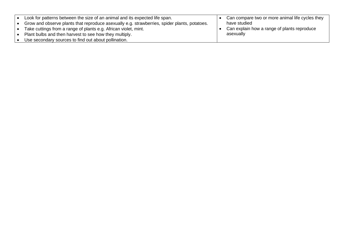| Look for patterns between the size of an animal and its expected life span.                  | Can compare two or more animal life cycles they |
|----------------------------------------------------------------------------------------------|-------------------------------------------------|
| Grow and observe plants that reproduce asexually e.g. strawberries, spider plants, potatoes. | have studied                                    |
| Take cuttings from a range of plants e.g. African violet, mint.                              | Can explain how a range of plants reproduce     |
| Plant bulbs and then harvest to see how they multiply.                                       | asexually                                       |
| Use secondary sources to find out about pollination.                                         |                                                 |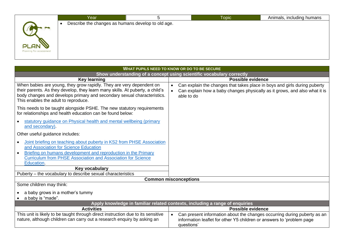|                                  | Year                                               | Topic <sup>1</sup> | Animals, including humans |
|----------------------------------|----------------------------------------------------|--------------------|---------------------------|
| PLAN'<br>Planning for assessment | Describe the changes as humans develop to old age. |                    |                           |

| WHAT PUPILS NEED TO KNOW OR DO TO BE SECURE                                                                                                                                                                                                                              |                                                                                                                                                                                    |  |  |  |
|--------------------------------------------------------------------------------------------------------------------------------------------------------------------------------------------------------------------------------------------------------------------------|------------------------------------------------------------------------------------------------------------------------------------------------------------------------------------|--|--|--|
|                                                                                                                                                                                                                                                                          | Show understanding of a concept using scientific vocabulary correctly                                                                                                              |  |  |  |
| <b>Key learning</b>                                                                                                                                                                                                                                                      | <b>Possible evidence</b>                                                                                                                                                           |  |  |  |
| When babies are young, they grow rapidly. They are very dependent on<br>their parents. As they develop, they learn many skills. At puberty, a child's<br>body changes and develops primary and secondary sexual characteristics.<br>This enables the adult to reproduce. | Can explain the changes that takes place in boys and girls during puberty<br>$\bullet$<br>Can explain how a baby changes physically as it grows, and also what it is<br>able to do |  |  |  |
| This needs to be taught alongside PSHE. The new statutory requirements<br>for relationships and health education can be found below:                                                                                                                                     |                                                                                                                                                                                    |  |  |  |
| statutory guidance on Physical health and mental wellbeing (primary<br>and secondary).                                                                                                                                                                                   |                                                                                                                                                                                    |  |  |  |
| Other useful guidance includes:                                                                                                                                                                                                                                          |                                                                                                                                                                                    |  |  |  |
| Joint briefing on teaching about puberty in KS2 from PHSE Association<br>and Association for Science Education<br>Briefing on humans development and reproduction in the Primary<br><b>Curriculum from PHSE Association and Association for Science</b><br>Education.    |                                                                                                                                                                                    |  |  |  |
| Key vocabulary                                                                                                                                                                                                                                                           |                                                                                                                                                                                    |  |  |  |
| Puberty - the vocabulary to describe sexual characteristics                                                                                                                                                                                                              |                                                                                                                                                                                    |  |  |  |
|                                                                                                                                                                                                                                                                          | <b>Common misconceptions</b>                                                                                                                                                       |  |  |  |
| Some children may think:                                                                                                                                                                                                                                                 |                                                                                                                                                                                    |  |  |  |
| a baby grows in a mother's tummy                                                                                                                                                                                                                                         |                                                                                                                                                                                    |  |  |  |
| a baby is "made".                                                                                                                                                                                                                                                        |                                                                                                                                                                                    |  |  |  |
|                                                                                                                                                                                                                                                                          | Apply knowledge in familiar related contexts, including a range of enquiries                                                                                                       |  |  |  |
| <b>Activities</b>                                                                                                                                                                                                                                                        | <b>Possible evidence</b>                                                                                                                                                           |  |  |  |
| This unit is likely to be taught through direct instruction due to its sensitive<br>nature, although children can carry out a research enquiry by asking an                                                                                                              | Can present information about the changes occurring during puberty as an<br>information leaflet for other Y5 children or answers to 'problem page<br>questions'                    |  |  |  |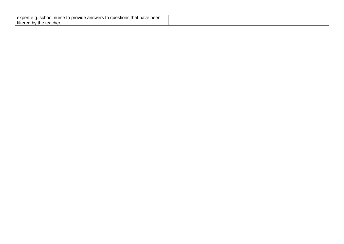| that have been ،<br>question<br>exper<br>school nurse to provide answers to the<br>v.u. |  |
|-----------------------------------------------------------------------------------------|--|
| filtered<br>teacher<br>⊺the<br>n.<br>ັບ                                                 |  |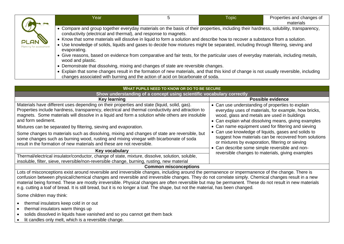|                                  | Year                                                                                                                                                                                                                                                                                                                                                                                                                                                                         | <b>Topic</b> | Properties and changes of<br>materials |
|----------------------------------|------------------------------------------------------------------------------------------------------------------------------------------------------------------------------------------------------------------------------------------------------------------------------------------------------------------------------------------------------------------------------------------------------------------------------------------------------------------------------|--------------|----------------------------------------|
| <b>PLAN</b><br>ng for assessment | • Compare and group together everyday materials on the basis of their properties, including their hardness, solubility, transparency,<br>conductivity (electrical and thermal), and response to magnets.<br>• Know that some materials will dissolve in liquid to form a solution and describe how to recover a substance from a solution.<br>Use knowledge of solids, liquids and gases to decide how mixtures might be separated, including through filtering, sieving and |              |                                        |
|                                  | evaporating.<br>• Give reasons, based on evidence from comparative and fair tests, for the particular uses of everyday materials, including metals,<br>wood and plastic.<br>• Demonstrate that dissolving, mixing and changes of state are reversible changes.                                                                                                                                                                                                               |              |                                        |
|                                  | • Explain that some changes result in the formation of new materials, and that this kind of change is not usually reversible, including<br>changes associated with burning and the action of acid on bicarbonate of soda.                                                                                                                                                                                                                                                    |              |                                        |

| <b>WHAT PUPILS NEED TO KNOW OR DO TO BE SECURE</b>                                                                                                                                                                                                                                                                                                                                                                                                                                                                                                                                                                                                                 |                                                                                                                                                                                                                                                                                                                                                                                                                                             |  |  |  |
|--------------------------------------------------------------------------------------------------------------------------------------------------------------------------------------------------------------------------------------------------------------------------------------------------------------------------------------------------------------------------------------------------------------------------------------------------------------------------------------------------------------------------------------------------------------------------------------------------------------------------------------------------------------------|---------------------------------------------------------------------------------------------------------------------------------------------------------------------------------------------------------------------------------------------------------------------------------------------------------------------------------------------------------------------------------------------------------------------------------------------|--|--|--|
| Show understanding of a concept using scientific vocabulary correctly                                                                                                                                                                                                                                                                                                                                                                                                                                                                                                                                                                                              |                                                                                                                                                                                                                                                                                                                                                                                                                                             |  |  |  |
| <b>Key learning</b>                                                                                                                                                                                                                                                                                                                                                                                                                                                                                                                                                                                                                                                | <b>Possible evidence</b>                                                                                                                                                                                                                                                                                                                                                                                                                    |  |  |  |
| Materials have different uses depending on their properties and state (liquid, solid, gas).<br>Properties include hardness, transparency, electrical and thermal conductivity and attraction to<br>magnets. Some materials will dissolve in a liquid and form a solution while others are insoluble<br>and form sediment.<br>Mixtures can be separated by filtering, sieving and evaporation.<br>Some changes to materials such as dissolving, mixing and changes of state are reversible, but<br>some changes such as burning wood, rusting and mixing vinegar with bicarbonate of soda<br>result in the formation of new materials and these are not reversible. | • Can use understanding of properties to explain<br>everyday uses of materials, for example, how bricks,<br>wood, glass and metals are used in buildings<br>• Can explain what dissolving means, giving examples<br>• Can name equipment used for filtering and sieving<br>• Can use knowledge of liquids, gases and solids to<br>suggest how materials can be recovered from solutions<br>or mixtures by evaporation, filtering or sieving |  |  |  |
| Key vocabulary                                                                                                                                                                                                                                                                                                                                                                                                                                                                                                                                                                                                                                                     | • Can describe some simple reversible and non-<br>reversible changes to materials, giving examples                                                                                                                                                                                                                                                                                                                                          |  |  |  |
| Thermal/electrical insulator/conductor, change of state, mixture, dissolve, solution, soluble,<br>insoluble, filter, sieve, reversible/non-reversible change, burning, rusting, new material                                                                                                                                                                                                                                                                                                                                                                                                                                                                       |                                                                                                                                                                                                                                                                                                                                                                                                                                             |  |  |  |
| <b>Common misconceptions</b>                                                                                                                                                                                                                                                                                                                                                                                                                                                                                                                                                                                                                                       |                                                                                                                                                                                                                                                                                                                                                                                                                                             |  |  |  |

Lots of misconceptions exist around reversible and irreversible changes, including around the permanence or impermanence of the change. There is confusion between physical/chemical changes and reversible and irreversible changes. They do not correlate simply. Chemical changes result in a new material being formed. These are mostly irreversible. Physical changes are often reversible but may be permanent. These do not result in new materials e.g. cutting a loaf of bread. It is still bread, but it is no longer a loaf. The shape, but not the material, has been changed.

Some children may think:

- thermal insulators keep cold in or out
- thermal insulators warm things up
- solids dissolved in liquids have vanished and so you cannot get them back
- lit candles only melt, which is a reversible change.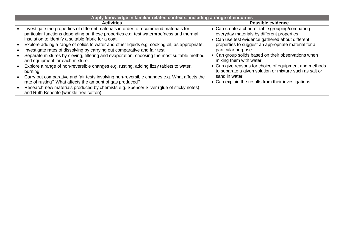| Apply knowledge in familiar related contexts, including a range of enquiries                                                                                                                                                                                                                   |                                                                                                                                                    |
|------------------------------------------------------------------------------------------------------------------------------------------------------------------------------------------------------------------------------------------------------------------------------------------------|----------------------------------------------------------------------------------------------------------------------------------------------------|
| <b>Activities</b>                                                                                                                                                                                                                                                                              | <b>Possible evidence</b>                                                                                                                           |
| Investigate the properties of different materials in order to recommend materials for<br>particular functions depending on these properties e.g. test waterproofness and thermal<br>insulation to identify a suitable fabric for a coat.                                                       | • Can create a chart or table grouping/comparing<br>everyday materials by different properties<br>• Can use test evidence gathered about different |
| Explore adding a range of solids to water and other liquids e.g. cooking oil, as appropriate.<br>Investigate rates of dissolving by carrying out comparative and fair test.<br>Separate mixtures by sieving, filtering and evaporation, choosing the most suitable method                      | properties to suggest an appropriate material for a<br>particular purpose<br>• Can group solids based on their observations when                   |
| and equipment for each mixture.<br>Explore a range of non-reversible changes e.g. rusting, adding fizzy tablets to water,<br>burning.                                                                                                                                                          | mixing them with water<br>• Can give reasons for choice of equipment and methods<br>to separate a given solution or mixture such as salt or        |
| Carry out comparative and fair tests involving non-reversible changes e.g. What affects the<br>rate of rusting? What affects the amount of gas produced?<br>Research new materials produced by chemists e.g. Spencer Silver (glue of sticky notes)<br>and Ruth Benerito (wrinkle free cotton). | sand in water<br>• Can explain the results from their investigations                                                                               |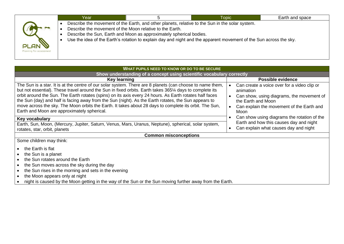|                                        | Year                                                     |                                                                     | Topic                                                                                                                                                                                                                 | Earth and space |
|----------------------------------------|----------------------------------------------------------|---------------------------------------------------------------------|-----------------------------------------------------------------------------------------------------------------------------------------------------------------------------------------------------------------------|-----------------|
| <b>PLAN</b><br>Planning for assessment | Describe the movement of the Moon relative to the Earth. | Describe the Sun, Earth and Moon as approximately spherical bodies. | Describe the movement of the Earth, and other planets, relative to the Sun in the solar system.<br>Use the idea of the Earth's rotation to explain day and night and the apparent movement of the Sun across the sky. |                 |

| WHAT PUPILS NEED TO KNOW OR DO TO BE SECURE                                                                                                                                                                                                                                                                                                                                                                                                                                                                                                                                                     |                                                                                                                                                                                  |  |  |  |  |
|-------------------------------------------------------------------------------------------------------------------------------------------------------------------------------------------------------------------------------------------------------------------------------------------------------------------------------------------------------------------------------------------------------------------------------------------------------------------------------------------------------------------------------------------------------------------------------------------------|----------------------------------------------------------------------------------------------------------------------------------------------------------------------------------|--|--|--|--|
| Show understanding of a concept using scientific vocabulary correctly                                                                                                                                                                                                                                                                                                                                                                                                                                                                                                                           |                                                                                                                                                                                  |  |  |  |  |
| <b>Key learning</b>                                                                                                                                                                                                                                                                                                                                                                                                                                                                                                                                                                             | Possible evidence                                                                                                                                                                |  |  |  |  |
| The Sun is a star. It is at the centre of our solar system. There are 8 planets (can choose to name them,<br>but not essential). These travel around the Sun in fixed orbits. Earth takes 365¼ days to complete its<br>orbit around the Sun. The Earth rotates (spins) on its axis every 24 hours. As Earth rotates half faces<br>the Sun (day) and half is facing away from the Sun (night). As the Earth rotates, the Sun appears to<br>move across the sky. The Moon orbits the Earth. It takes about 28 days to complete its orbit. The Sun,<br>Earth and Moon are approximately spherical. | Can create a voice over for a video clip or<br>animation<br>Can show, using diagrams, the movement of<br>the Earth and Moon<br>Can explain the movement of the Earth and<br>Moon |  |  |  |  |
| Key vocabulary                                                                                                                                                                                                                                                                                                                                                                                                                                                                                                                                                                                  | Can show using diagrams the rotation of the                                                                                                                                      |  |  |  |  |
| Earth, Sun, Moon, (Mercury, Jupiter, Saturn, Venus, Mars, Uranus, Neptune), spherical, solar system,<br>rotates, star, orbit, planets                                                                                                                                                                                                                                                                                                                                                                                                                                                           | Earth and how this causes day and night<br>Can explain what causes day and night                                                                                                 |  |  |  |  |
| <b>Common misconceptions</b>                                                                                                                                                                                                                                                                                                                                                                                                                                                                                                                                                                    |                                                                                                                                                                                  |  |  |  |  |
| Some children may think:                                                                                                                                                                                                                                                                                                                                                                                                                                                                                                                                                                        |                                                                                                                                                                                  |  |  |  |  |
| the Earth is flat<br>the Sun is a planet<br>the Sun rotates around the Earth<br>the Sun moves across the sky during the day<br>the Sun rises in the morning and sets in the evening<br>the Moon appears only at night<br>night is caused by the Moon getting in the way of the Sun or the Sun moving further away from the Earth.                                                                                                                                                                                                                                                               |                                                                                                                                                                                  |  |  |  |  |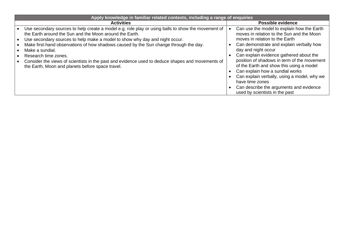| Apply knowledge in familiar related contexts, including a range of enquiries                                                                                                                                                                                                                                                                                                                                                                                                                                                             |                                                                                                                                                                                                                                                                                                                                                                                                                                                                                                                      |  |  |  |
|------------------------------------------------------------------------------------------------------------------------------------------------------------------------------------------------------------------------------------------------------------------------------------------------------------------------------------------------------------------------------------------------------------------------------------------------------------------------------------------------------------------------------------------|----------------------------------------------------------------------------------------------------------------------------------------------------------------------------------------------------------------------------------------------------------------------------------------------------------------------------------------------------------------------------------------------------------------------------------------------------------------------------------------------------------------------|--|--|--|
| <b>Activities</b>                                                                                                                                                                                                                                                                                                                                                                                                                                                                                                                        | Possible evidence                                                                                                                                                                                                                                                                                                                                                                                                                                                                                                    |  |  |  |
| Use secondary sources to help create a model e.g. role play or using balls to show the movement of<br>the Earth around the Sun and the Moon around the Earth.<br>Use secondary sources to help make a model to show why day and night occur.<br>Make first-hand observations of how shadows caused by the Sun change through the day.<br>Make a sundial.<br>Research time zones.<br>Consider the views of scientists in the past and evidence used to deduce shapes and movements of<br>the Earth, Moon and planets before space travel. | Can use the model to explain how the Earth<br>moves in relation to the Sun and the Moon<br>moves in relation to the Earth<br>Can demonstrate and explain verbally how<br>day and night occur<br>Can explain evidence gathered about the<br>position of shadows in term of the movement<br>of the Earth and show this using a model<br>Can explain how a sundial works<br>Can explain verbally, using a model, why we<br>have time zones<br>Can describe the arguments and evidence<br>used by scientists in the past |  |  |  |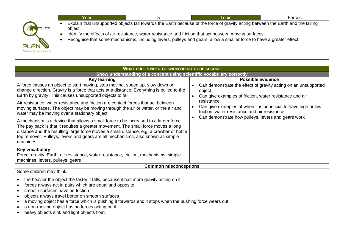|                                        | Year    | <b>Topic</b>                                                                                                                                                                                                                                                                                                                                                        | Forces |
|----------------------------------------|---------|---------------------------------------------------------------------------------------------------------------------------------------------------------------------------------------------------------------------------------------------------------------------------------------------------------------------------------------------------------------------|--------|
| <b>PLAN</b><br>Planning for assessment | object. | Explain that unsupported objects fall towards the Earth because of the force of gravity acting between the Earth and the falling<br>Identify the effects of air resistance, water resistance and friction that act between moving surfaces.<br>Recognise that some mechanisms, including levers, pulleys and gears, allow a smaller force to have a greater effect. |        |

| <b>WHAT PUPILS NEED TO KNOW OR DO TO BE SECURE</b>                                                                                                                                                                                                                                                                                                                                                                                                                  |                                                                                                                                                               |  |  |  |  |
|---------------------------------------------------------------------------------------------------------------------------------------------------------------------------------------------------------------------------------------------------------------------------------------------------------------------------------------------------------------------------------------------------------------------------------------------------------------------|---------------------------------------------------------------------------------------------------------------------------------------------------------------|--|--|--|--|
| Show understanding of a concept using scientific vocabulary correctly                                                                                                                                                                                                                                                                                                                                                                                               |                                                                                                                                                               |  |  |  |  |
| <b>Key learning</b>                                                                                                                                                                                                                                                                                                                                                                                                                                                 | Possible evidence                                                                                                                                             |  |  |  |  |
| A force causes an object to start moving, stop moving, speed up, slow down or<br>change direction. Gravity is a force that acts at a distance. Everything is pulled to the<br>Earth by gravity. This causes unsupported objects to fall.                                                                                                                                                                                                                            | Can demonstrate the effect of gravity acting on an unsupported<br>$\bullet$<br>object<br>Can give examples of friction, water resistance and air<br>$\bullet$ |  |  |  |  |
| Air resistance, water resistance and friction are contact forces that act between<br>moving surfaces. The object may be moving through the air or water, or the air and<br>water may be moving over a stationary object.                                                                                                                                                                                                                                            | resistance<br>Can give examples of when it is beneficial to have high or low<br>friction, water resistance and air resistance                                 |  |  |  |  |
| A mechanism is a device that allows a small force to be increased to a larger force.<br>The pay back is that it requires a greater movement. The small force moves a long<br>distance and the resulting large force moves a small distance, e.g. a crowbar or bottle<br>top remover. Pulleys, levers and gears are all mechanisms, also known as simple<br>machines.                                                                                                | Can demonstrate how pulleys, levers and gears work<br>$\bullet$                                                                                               |  |  |  |  |
| Key vocabulary                                                                                                                                                                                                                                                                                                                                                                                                                                                      |                                                                                                                                                               |  |  |  |  |
| Force, gravity, Earth, air resistance, water resistance, friction, mechanisms, simple<br>machines, levers, pulleys, gears                                                                                                                                                                                                                                                                                                                                           |                                                                                                                                                               |  |  |  |  |
| <b>Common misconceptions</b>                                                                                                                                                                                                                                                                                                                                                                                                                                        |                                                                                                                                                               |  |  |  |  |
| Some children may think:                                                                                                                                                                                                                                                                                                                                                                                                                                            |                                                                                                                                                               |  |  |  |  |
| the heavier the object the faster it falls, because it has more gravity acting on it<br>forces always act in pairs which are equal and opposite<br>smooth surfaces have no friction<br>$\bullet$<br>objects always travel better on smooth surfaces<br>٠<br>a moving object has a force which is pushing it forwards and it stops when the pushing force wears out<br>a non-moving object has no forces acting on it<br>heavy objects sink and light objects float. |                                                                                                                                                               |  |  |  |  |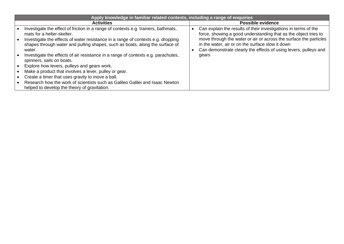|           | Apply knowledge in familiar related contexts, including a range of enquiries                                                                                               |                                                                                                                                                                                           |
|-----------|----------------------------------------------------------------------------------------------------------------------------------------------------------------------------|-------------------------------------------------------------------------------------------------------------------------------------------------------------------------------------------|
|           | <b>Activities</b>                                                                                                                                                          | <b>Possible evidence</b>                                                                                                                                                                  |
|           | Investigate the effect of friction in a range of contexts e.g. trainers, bathmats,<br>mats for a helter-skelter.                                                           | Can explain the results of their investigations in terms of the<br>force, showing a good understanding that as the object tries to                                                        |
| $\bullet$ | Investigate the effects of water resistance in a range of contexts e.g. dropping<br>shapes through water and pulling shapes, such as boats, along the surface of<br>water. | move through the water or air or across the surface the particles<br>in the water, air or on the surface slow it down<br>Can demonstrate clearly the effects of using levers, pulleys and |
|           | Investigate the effects of air resistance in a range of contexts e.g. parachutes,<br>spinners, sails on boats.                                                             | gears                                                                                                                                                                                     |
|           | Explore how levers, pulleys and gears work.                                                                                                                                |                                                                                                                                                                                           |
|           | Make a product that involves a lever, pulley or gear.                                                                                                                      |                                                                                                                                                                                           |
|           | Create a timer that uses gravity to move a ball.                                                                                                                           |                                                                                                                                                                                           |
|           | Research how the work of scientists such as Galileo Galilei and Isaac Newton<br>helped to develop the theory of gravitation.                                               |                                                                                                                                                                                           |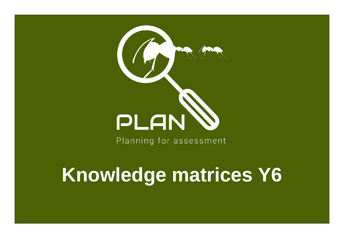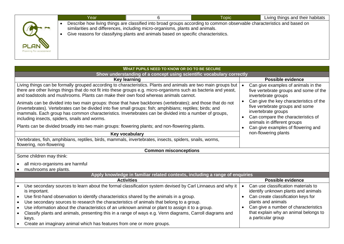| Describe how living things are classified into broad groups according to common observable characteristics and based on<br>similarities and differences, including micro-organisms, plants and animals.<br>Give reasons for classifying plants and animals based on specific characteristics.<br><b>PLAN</b><br>Planning for assessment | Year | <b>Topic</b> | Living things and their habitats |
|-----------------------------------------------------------------------------------------------------------------------------------------------------------------------------------------------------------------------------------------------------------------------------------------------------------------------------------------|------|--------------|----------------------------------|
|                                                                                                                                                                                                                                                                                                                                         |      |              |                                  |

| <b>WHAT PUPILS NEED TO KNOW OR DO TO BE SECURE</b>                                                                                                                                                                                                                                                                                                                                  |                                                                                                                                                                                                  |  |  |  |  |  |
|-------------------------------------------------------------------------------------------------------------------------------------------------------------------------------------------------------------------------------------------------------------------------------------------------------------------------------------------------------------------------------------|--------------------------------------------------------------------------------------------------------------------------------------------------------------------------------------------------|--|--|--|--|--|
| Show understanding of a concept using scientific vocabulary correctly                                                                                                                                                                                                                                                                                                               |                                                                                                                                                                                                  |  |  |  |  |  |
| <b>Key learning</b>                                                                                                                                                                                                                                                                                                                                                                 | <b>Possible evidence</b>                                                                                                                                                                         |  |  |  |  |  |
| Living things can be formally grouped according to characteristics. Plants and animals are two main groups but<br>there are other livings things that do not fit into these groups e.g. micro-organisms such as bacteria and yeast,<br>and toadstools and mushrooms. Plants can make their own food whereas animals cannot.                                                         | Can give examples of animals in the<br>$\bullet$<br>five vertebrate groups and some of the<br>invertebrate groups                                                                                |  |  |  |  |  |
| Animals can be divided into two main groups: those that have backbones (vertebrates); and those that do not<br>(invertebrates). Vertebrates can be divided into five small groups: fish; amphibians; reptiles; birds; and<br>mammals. Each group has common characteristics. Invertebrates can be divided into a number of groups,<br>including insects, spiders, snails and worms. | Can give the key characteristics of the<br>$\bullet$<br>five vertebrate groups and some<br>invertebrate groups<br>Can compare the characteristics of<br>$\bullet$<br>animals in different groups |  |  |  |  |  |
| Plants can be divided broadly into two main groups: flowering plants; and non-flowering plants.                                                                                                                                                                                                                                                                                     | Can give examples of flowering and                                                                                                                                                               |  |  |  |  |  |
| Key vocabulary                                                                                                                                                                                                                                                                                                                                                                      | non-flowering plants                                                                                                                                                                             |  |  |  |  |  |
| Vertebrates, fish, amphibians, reptiles, birds, mammals, invertebrates, insects, spiders, snails, worms,<br>flowering, non-flowering                                                                                                                                                                                                                                                |                                                                                                                                                                                                  |  |  |  |  |  |
| <b>Common misconceptions</b>                                                                                                                                                                                                                                                                                                                                                        |                                                                                                                                                                                                  |  |  |  |  |  |
| Some children may think:                                                                                                                                                                                                                                                                                                                                                            |                                                                                                                                                                                                  |  |  |  |  |  |
| all micro-organisms are harmful                                                                                                                                                                                                                                                                                                                                                     |                                                                                                                                                                                                  |  |  |  |  |  |
| mushrooms are plants.                                                                                                                                                                                                                                                                                                                                                               |                                                                                                                                                                                                  |  |  |  |  |  |
| Apply knowledge in familiar related contexts, including a range of enquiries                                                                                                                                                                                                                                                                                                        |                                                                                                                                                                                                  |  |  |  |  |  |
| <b>Activities</b>                                                                                                                                                                                                                                                                                                                                                                   | <b>Possible evidence</b>                                                                                                                                                                         |  |  |  |  |  |
| Use secondary sources to learn about the formal classification system devised by Carl Linnaeus and why it<br>$\bullet$<br>is important.                                                                                                                                                                                                                                             | Can use classification materials to<br>$\bullet$<br>identify unknown plants and animals                                                                                                          |  |  |  |  |  |
| Use first-hand observation to identify characteristics shared by the animals in a group.<br>$\bullet$                                                                                                                                                                                                                                                                               | Can create classification keys for<br>$\bullet$                                                                                                                                                  |  |  |  |  |  |
| Use secondary sources to research the characteristics of animals that belong to a group.<br>$\bullet$                                                                                                                                                                                                                                                                               | plants and animals                                                                                                                                                                               |  |  |  |  |  |
| Use information about the characteristics of an unknown animal or plant to assign it to a group.<br>$\bullet$                                                                                                                                                                                                                                                                       | Can give a number of characteristics<br>$\bullet$                                                                                                                                                |  |  |  |  |  |
| Classify plants and animals, presenting this in a range of ways e.g. Venn diagrams, Carroll diagrams and<br>$\bullet$<br>keys.                                                                                                                                                                                                                                                      | that explain why an animal belongs to<br>a particular group                                                                                                                                      |  |  |  |  |  |
| Create an imaginary animal which has features from one or more groups.                                                                                                                                                                                                                                                                                                              |                                                                                                                                                                                                  |  |  |  |  |  |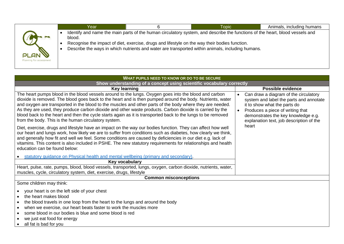|                                        | Year   |                                                                                               | <b>Topic</b>                                                                                                                                                                                                                     | Animals, including humans |
|----------------------------------------|--------|-----------------------------------------------------------------------------------------------|----------------------------------------------------------------------------------------------------------------------------------------------------------------------------------------------------------------------------------|---------------------------|
| <b>PLAN</b><br>Planning for assessment | blood. | Recognise the impact of diet, exercise, drugs and lifestyle on the way their bodies function. | Identify and name the main parts of the human circulatory system, and describe the functions of the heart, blood vessels and<br>Describe the ways in which nutrients and water are transported within animals, including humans. |                           |

| <b>WHAT PUPILS NEED TO KNOW OR DO TO BE SECURE</b>                                                                                                                                                                                                                                                                                                                                                                                                                                                                                                                                                                  |                                                                                                                                                                                                                                                      |  |  |  |  |
|---------------------------------------------------------------------------------------------------------------------------------------------------------------------------------------------------------------------------------------------------------------------------------------------------------------------------------------------------------------------------------------------------------------------------------------------------------------------------------------------------------------------------------------------------------------------------------------------------------------------|------------------------------------------------------------------------------------------------------------------------------------------------------------------------------------------------------------------------------------------------------|--|--|--|--|
| Show understanding of a concept using scientific vocabulary correctly                                                                                                                                                                                                                                                                                                                                                                                                                                                                                                                                               |                                                                                                                                                                                                                                                      |  |  |  |  |
| <b>Key learning</b>                                                                                                                                                                                                                                                                                                                                                                                                                                                                                                                                                                                                 | <b>Possible evidence</b>                                                                                                                                                                                                                             |  |  |  |  |
| The heart pumps blood in the blood vessels around to the lungs. Oxygen goes into the blood and carbon<br>dioxide is removed. The blood goes back to the heart and is then pumped around the body. Nutrients, water<br>and oxygen are transported in the blood to the muscles and other parts of the body where they are needed.<br>As they are used, they produce carbon dioxide and other waste products. Carbon dioxide is carried by the<br>blood back to the heart and then the cycle starts again as it is transported back to the lungs to be removed<br>from the body. This is the human circulatory system. | Can draw a diagram of the circulatory<br>$\bullet$<br>system and label the parts and annotate<br>it to show what the parts do<br>Produces a piece of writing that<br>demonstrates the key knowledge e.g.<br>explanation text, job description of the |  |  |  |  |
| Diet, exercise, drugs and lifestyle have an impact on the way our bodies function. They can affect how well<br>our heart and lungs work, how likely we are to suffer from conditions such as diabetes, how clearly we think,<br>and generally how fit and well we feel. Some conditions are caused by deficiencies in our diet e.g. lack of<br>vitamins. This content is also included in PSHE. The new statutory requirements for relationships and health<br>education can be found below:                                                                                                                        | heart                                                                                                                                                                                                                                                |  |  |  |  |
| statutory quidance on Physical health and mental wellbeing (primary and secondary).                                                                                                                                                                                                                                                                                                                                                                                                                                                                                                                                 |                                                                                                                                                                                                                                                      |  |  |  |  |
| Key vocabulary                                                                                                                                                                                                                                                                                                                                                                                                                                                                                                                                                                                                      |                                                                                                                                                                                                                                                      |  |  |  |  |
| Heart, pulse, rate, pumps, blood, blood vessels, transported, lungs, oxygen, carbon dioxide, nutrients, water,<br>muscles, cycle, circulatory system, diet, exercise, drugs, lifestyle                                                                                                                                                                                                                                                                                                                                                                                                                              |                                                                                                                                                                                                                                                      |  |  |  |  |
| <b>Common misconceptions</b>                                                                                                                                                                                                                                                                                                                                                                                                                                                                                                                                                                                        |                                                                                                                                                                                                                                                      |  |  |  |  |
| Some children may think:                                                                                                                                                                                                                                                                                                                                                                                                                                                                                                                                                                                            |                                                                                                                                                                                                                                                      |  |  |  |  |
| your heart is on the left side of your chest<br>$\bullet$<br>the heart makes blood<br>$\bullet$<br>the blood travels in one loop from the heart to the lungs and around the body<br>$\bullet$<br>when we exercise, our heart beats faster to work the muscles more<br>$\bullet$<br>some blood in our bodies is blue and some blood is red<br>we just eat food for energy<br>all fat is bad for you                                                                                                                                                                                                                  |                                                                                                                                                                                                                                                      |  |  |  |  |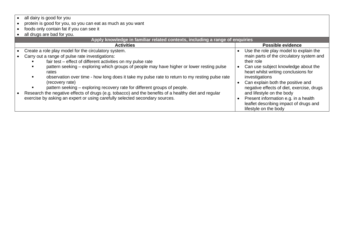- protein is good for you, so you can eat as much as you want
- foods only contain fat if you can see it
- all drugs are bad for you.

| <b>Activities</b><br>Create a role play model for the circulatory system.<br>Carry out a range of pulse rate investigations:<br>fair test - effect of different activities on my pulse rate<br>their role                                                                                                                                                                                                                                                                                   | <b>Possible evidence</b><br>Use the role play model to explain the                                                                                                                                                                                                                                                                         |
|---------------------------------------------------------------------------------------------------------------------------------------------------------------------------------------------------------------------------------------------------------------------------------------------------------------------------------------------------------------------------------------------------------------------------------------------------------------------------------------------|--------------------------------------------------------------------------------------------------------------------------------------------------------------------------------------------------------------------------------------------------------------------------------------------------------------------------------------------|
|                                                                                                                                                                                                                                                                                                                                                                                                                                                                                             |                                                                                                                                                                                                                                                                                                                                            |
| pattern seeking – exploring which groups of people may have higher or lower resting pulse<br>rates<br>observation over time - how long does it take my pulse rate to return to my resting pulse rate<br>(recovery rate)<br>pattern seeking - exploring recovery rate for different groups of people.<br>Research the negative effects of drugs (e.g. tobacco) and the benefits of a healthy diet and regular<br>exercise by asking an expert or using carefully selected secondary sources. | main parts of the circulatory system and<br>Can use subject knowledge about the<br>heart whilst writing conclusions for<br>investigations<br>Can explain both the positive and<br>negative effects of diet, exercise, drugs<br>and lifestyle on the body<br>Present information e.g. in a health<br>leaflet describing impact of drugs and |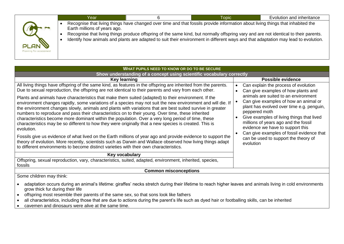|                                        | Year                         | Topic                                                                                                                                                                                                                                                                                                                                                                                                         | Evolution and inheritance |
|----------------------------------------|------------------------------|---------------------------------------------------------------------------------------------------------------------------------------------------------------------------------------------------------------------------------------------------------------------------------------------------------------------------------------------------------------------------------------------------------------|---------------------------|
| <b>PLAN</b><br>Planning for assessment | Earth millions of years ago. | Recognise that living things have changed over time and that fossils provide information about living things that inhabited the<br>Recognise that living things produce offspring of the same kind, but normally offspring vary and are not identical to their parents.<br>Identify how animals and plants are adapted to suit their environment in different ways and that adaptation may lead to evolution. |                           |

| WHAT PUPILS NEED TO KNOW OR DO TO BE SECURE                                                                                                                                                                                                                                                                                                                                                                                                                                                                                                                                                                                                                                                                                                                                                                                                                                                                                                                                                                                                                                                                                                                                                                               |                                                                                                                                                                                                                                                                                                                                                                                                                                                       |  |  |  |  |  |
|---------------------------------------------------------------------------------------------------------------------------------------------------------------------------------------------------------------------------------------------------------------------------------------------------------------------------------------------------------------------------------------------------------------------------------------------------------------------------------------------------------------------------------------------------------------------------------------------------------------------------------------------------------------------------------------------------------------------------------------------------------------------------------------------------------------------------------------------------------------------------------------------------------------------------------------------------------------------------------------------------------------------------------------------------------------------------------------------------------------------------------------------------------------------------------------------------------------------------|-------------------------------------------------------------------------------------------------------------------------------------------------------------------------------------------------------------------------------------------------------------------------------------------------------------------------------------------------------------------------------------------------------------------------------------------------------|--|--|--|--|--|
| Show understanding of a concept using scientific vocabulary correctly                                                                                                                                                                                                                                                                                                                                                                                                                                                                                                                                                                                                                                                                                                                                                                                                                                                                                                                                                                                                                                                                                                                                                     |                                                                                                                                                                                                                                                                                                                                                                                                                                                       |  |  |  |  |  |
| Key learning                                                                                                                                                                                                                                                                                                                                                                                                                                                                                                                                                                                                                                                                                                                                                                                                                                                                                                                                                                                                                                                                                                                                                                                                              | <b>Possible evidence</b>                                                                                                                                                                                                                                                                                                                                                                                                                              |  |  |  |  |  |
| All living things have offspring of the same kind, as features in the offspring are inherited from the parents.<br>Due to sexual reproduction, the offspring are not identical to their parents and vary from each other.<br>Plants and animals have characteristics that make them suited (adapted) to their environment. If the<br>environment changes rapidly, some variations of a species may not suit the new environment and will die. If<br>the environment changes slowly, animals and plants with variations that are best suited survive in greater<br>numbers to reproduce and pass their characteristics on to their young. Over time, these inherited<br>characteristics become more dominant within the population. Over a very long period of time, these<br>characteristics may be so different to how they were originally that a new species is created. This is<br>evolution.<br>Fossils give us evidence of what lived on the Earth millions of year ago and provide evidence to support the<br>theory of evolution. More recently, scientists such as Darwin and Wallace observed how living things adapt<br>to different environments to become distinct varieties with their own characteristics. | Can explain the process of evolution<br>Can give examples of how plants and<br>animals are suited to an environment<br>Can give examples of how an animal or<br>plant has evolved over time e.g. penguin,<br>peppered moth<br>Give examples of living things that lived<br>millions of years ago and the fossil<br>evidence we have to support this<br>Can give examples of fossil evidence that<br>can be used to support the theory of<br>evolution |  |  |  |  |  |
| Key vocabulary                                                                                                                                                                                                                                                                                                                                                                                                                                                                                                                                                                                                                                                                                                                                                                                                                                                                                                                                                                                                                                                                                                                                                                                                            |                                                                                                                                                                                                                                                                                                                                                                                                                                                       |  |  |  |  |  |
| Offspring, sexual reproduction, vary, characteristics, suited, adapted, environment, inherited, species,<br>fossils                                                                                                                                                                                                                                                                                                                                                                                                                                                                                                                                                                                                                                                                                                                                                                                                                                                                                                                                                                                                                                                                                                       |                                                                                                                                                                                                                                                                                                                                                                                                                                                       |  |  |  |  |  |
| <b>Common misconceptions</b>                                                                                                                                                                                                                                                                                                                                                                                                                                                                                                                                                                                                                                                                                                                                                                                                                                                                                                                                                                                                                                                                                                                                                                                              |                                                                                                                                                                                                                                                                                                                                                                                                                                                       |  |  |  |  |  |
| Some children may think:                                                                                                                                                                                                                                                                                                                                                                                                                                                                                                                                                                                                                                                                                                                                                                                                                                                                                                                                                                                                                                                                                                                                                                                                  |                                                                                                                                                                                                                                                                                                                                                                                                                                                       |  |  |  |  |  |
| adaptation occurs during an animal's lifetime: giraffes' necks stretch during their lifetime to reach higher leaves and animals living in cold environments<br>grow thick fur during their life<br>offspring most resemble their parents of the same sex, so that sons look like fathers<br>all characteristics, including those that are due to actions during the parent's life such as dyed hair or footballing skills, can be inherited                                                                                                                                                                                                                                                                                                                                                                                                                                                                                                                                                                                                                                                                                                                                                                               |                                                                                                                                                                                                                                                                                                                                                                                                                                                       |  |  |  |  |  |

• cavemen and dinosaurs were alive at the same time.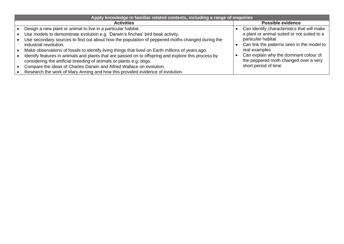| Apply knowledge in familiar related contexts, including a range of enquiries                                                                                               |  |                                                                                 |  |  |
|----------------------------------------------------------------------------------------------------------------------------------------------------------------------------|--|---------------------------------------------------------------------------------|--|--|
| <b>Activities</b>                                                                                                                                                          |  | <b>Possible evidence</b>                                                        |  |  |
| Design a new plant or animal to live in a particular habitat.                                                                                                              |  | Can identify characteristics that will make                                     |  |  |
| Use models to demonstrate evolution e.g. 'Darwin's finches' bird beak activity.                                                                                            |  | a plant or animal suited or not suited to a                                     |  |  |
| Use secondary sources to find out about how the population of peppered moths changed during the<br>industrial revolution.                                                  |  | particular habitat<br>Can link the patterns seen in the model to                |  |  |
| Make observations of fossils to identify living things that lived on Earth millions of years ago.                                                                          |  | real examples                                                                   |  |  |
| Identify features in animals and plants that are passed on to offspring and explore this process by<br>considering the artificial breeding of animals or plants e.g. dogs. |  | Can explain why the dominant colour of<br>the peppered moth changed over a very |  |  |
| Compare the ideas of Charles Darwin and Alfred Wallace on evolution.                                                                                                       |  | short period of time                                                            |  |  |
| Research the work of Mary Anning and how this provided evidence of evolution.                                                                                              |  |                                                                                 |  |  |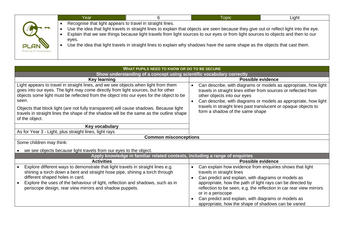|                                        | Year                                                               | 6 | <b>Topic</b>                                                                                                                                                                                                                                                                                                                                                                                               | Light |
|----------------------------------------|--------------------------------------------------------------------|---|------------------------------------------------------------------------------------------------------------------------------------------------------------------------------------------------------------------------------------------------------------------------------------------------------------------------------------------------------------------------------------------------------------|-------|
| <b>PLAN</b><br>Planning for assessment | Recognise that light appears to travel in straight lines.<br>eves. |   | Use the idea that light travels in straight lines to explain that objects are seen because they give out or reflect light into the eye.<br>Explain that we see things because light travels from light sources to our eyes or from light sources to objects and then to our<br>Use the idea that light travels in straight lines to explain why shadows have the same shape as the objects that cast them. |       |

| WHAT PUPILS NEED TO KNOW OR DO TO BE SECURE                                                                                                                                                                                                                                                                                                                                                                                                                                        |                                                                                                                                                                                                                                                                                                                                                                                                                                                             |  |  |  |
|------------------------------------------------------------------------------------------------------------------------------------------------------------------------------------------------------------------------------------------------------------------------------------------------------------------------------------------------------------------------------------------------------------------------------------------------------------------------------------|-------------------------------------------------------------------------------------------------------------------------------------------------------------------------------------------------------------------------------------------------------------------------------------------------------------------------------------------------------------------------------------------------------------------------------------------------------------|--|--|--|
| Show understanding of a concept using scientific vocabulary correctly                                                                                                                                                                                                                                                                                                                                                                                                              |                                                                                                                                                                                                                                                                                                                                                                                                                                                             |  |  |  |
| Key learning                                                                                                                                                                                                                                                                                                                                                                                                                                                                       | <b>Possible evidence</b>                                                                                                                                                                                                                                                                                                                                                                                                                                    |  |  |  |
| Light appears to travel in straight lines, and we see objects when light from them<br>goes into our eyes. The light may come directly from light sources, but for other<br>objects some light must be reflected from the object into our eyes for the object to be<br>seen.<br>Objects that block light (are not fully transparent) will cause shadows. Because light<br>travels in straight lines the shape of the shadow will be the same as the outline shape<br>of the object. | Can describe, with diagrams or models as appropriate, how light<br>$\bullet$<br>travels in straight lines either from sources or reflected from<br>other objects into our eyes<br>Can describe, with diagrams or models as appropriate, how light<br>$\bullet$<br>travels in straight lines past translucent or opaque objects to<br>form a shadow of the same shape                                                                                        |  |  |  |
| Key vocabulary                                                                                                                                                                                                                                                                                                                                                                                                                                                                     |                                                                                                                                                                                                                                                                                                                                                                                                                                                             |  |  |  |
| As for Year 3 - Light, plus straight lines, light rays                                                                                                                                                                                                                                                                                                                                                                                                                             |                                                                                                                                                                                                                                                                                                                                                                                                                                                             |  |  |  |
| <b>Common misconceptions</b>                                                                                                                                                                                                                                                                                                                                                                                                                                                       |                                                                                                                                                                                                                                                                                                                                                                                                                                                             |  |  |  |
|                                                                                                                                                                                                                                                                                                                                                                                                                                                                                    | Some children may think:                                                                                                                                                                                                                                                                                                                                                                                                                                    |  |  |  |
| we see objects because light travels from our eyes to the object.                                                                                                                                                                                                                                                                                                                                                                                                                  |                                                                                                                                                                                                                                                                                                                                                                                                                                                             |  |  |  |
| Apply knowledge in familiar related contexts, including a range of enquiries                                                                                                                                                                                                                                                                                                                                                                                                       |                                                                                                                                                                                                                                                                                                                                                                                                                                                             |  |  |  |
| <b>Activities</b>                                                                                                                                                                                                                                                                                                                                                                                                                                                                  | <b>Possible evidence</b>                                                                                                                                                                                                                                                                                                                                                                                                                                    |  |  |  |
| Explore different ways to demonstrate that light travels in straight lines e.g.<br>shining a torch down a bent and straight hose pipe, shining a torch through<br>different shaped holes in card.<br>Explore the uses of the behaviour of light, reflection and shadows, such as in<br>periscope design, rear view mirrors and shadow puppets.                                                                                                                                     | Can explain how evidence from enquiries shows that light<br>$\bullet$<br>travels in straight lines<br>Can predict and explain, with diagrams or models as<br>$\bullet$<br>appropriate, how the path of light rays can be directed by<br>reflection to be seen, e.g. the reflection in car rear view mirrors<br>or in a periscope<br>Can predict and explain, with diagrams or models as<br>$\bullet$<br>appropriate, how the shape of shadows can be varied |  |  |  |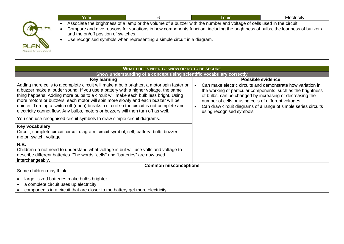|                                        | Year                                 |                                                                         | Topic                                                                                                                                                                                                                                                    | Electricity |
|----------------------------------------|--------------------------------------|-------------------------------------------------------------------------|----------------------------------------------------------------------------------------------------------------------------------------------------------------------------------------------------------------------------------------------------------|-------------|
| <b>PLAN</b><br>Planning for assessment | and the on/off position of switches. | Use recognised symbols when representing a simple circuit in a diagram. | Associate the brightness of a lamp or the volume of a buzzer with the number and voltage of cells used in the circuit.<br>Compare and give reasons for variations in how components function, including the brightness of bulbs, the loudness of buzzers |             |

| WHAT PUPILS NEED TO KNOW OR DO TO BE SECURE                                                                                                                                                                                                                                                                                                                                                                                                                                                                                                  |           |                                                                                                                                                                                                                                                                                                                                               |  |  |
|----------------------------------------------------------------------------------------------------------------------------------------------------------------------------------------------------------------------------------------------------------------------------------------------------------------------------------------------------------------------------------------------------------------------------------------------------------------------------------------------------------------------------------------------|-----------|-----------------------------------------------------------------------------------------------------------------------------------------------------------------------------------------------------------------------------------------------------------------------------------------------------------------------------------------------|--|--|
| Show understanding of a concept using scientific vocabulary correctly                                                                                                                                                                                                                                                                                                                                                                                                                                                                        |           |                                                                                                                                                                                                                                                                                                                                               |  |  |
| <b>Key learning</b>                                                                                                                                                                                                                                                                                                                                                                                                                                                                                                                          |           | <b>Possible evidence</b>                                                                                                                                                                                                                                                                                                                      |  |  |
| Adding more cells to a complete circuit will make a bulb brighter, a motor spin faster or<br>a buzzer make a louder sound. If you use a battery with a higher voltage, the same<br>thing happens. Adding more bulbs to a circuit will make each bulb less bright. Using<br>more motors or buzzers, each motor will spin more slowly and each buzzer will be<br>quieter. Turning a switch off (open) breaks a circuit so the circuit is not complete and<br>electricity cannot flow. Any bulbs, motors or buzzers will then turn off as well. | $\bullet$ | Can make electric circuits and demonstrate how variation in<br>the working of particular components, such as the brightness<br>of bulbs, can be changed by increasing or decreasing the<br>number of cells or using cells of different voltages<br>Can draw circuit diagrams of a range of simple series circuits<br>using recognised symbols |  |  |
| You can use recognised circuit symbols to draw simple circuit diagrams.                                                                                                                                                                                                                                                                                                                                                                                                                                                                      |           |                                                                                                                                                                                                                                                                                                                                               |  |  |
| Key vocabulary                                                                                                                                                                                                                                                                                                                                                                                                                                                                                                                               |           |                                                                                                                                                                                                                                                                                                                                               |  |  |
| Circuit, complete circuit, circuit diagram, circuit symbol, cell, battery, bulb, buzzer,<br>motor, switch, voltage                                                                                                                                                                                                                                                                                                                                                                                                                           |           |                                                                                                                                                                                                                                                                                                                                               |  |  |
| N.B.<br>Children do not need to understand what voltage is but will use volts and voltage to<br>describe different batteries. The words "cells" and "batteries" are now used<br>interchangeably.                                                                                                                                                                                                                                                                                                                                             |           |                                                                                                                                                                                                                                                                                                                                               |  |  |
| <b>Common misconceptions</b>                                                                                                                                                                                                                                                                                                                                                                                                                                                                                                                 |           |                                                                                                                                                                                                                                                                                                                                               |  |  |
| Some children may think:                                                                                                                                                                                                                                                                                                                                                                                                                                                                                                                     |           |                                                                                                                                                                                                                                                                                                                                               |  |  |
| larger-sized batteries make bulbs brighter<br>a complete circuit uses up electricity<br>components in a circuit that are closer to the battery get more electricity.                                                                                                                                                                                                                                                                                                                                                                         |           |                                                                                                                                                                                                                                                                                                                                               |  |  |